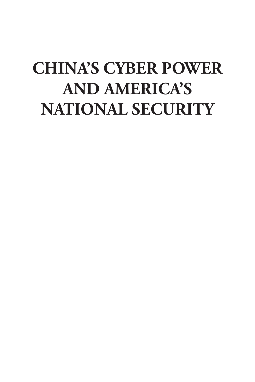# **CHINA'S CYBER POWER AND AMERICA'S NATIONAL SECURITY**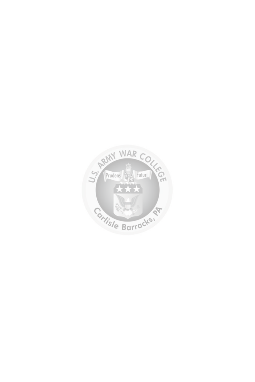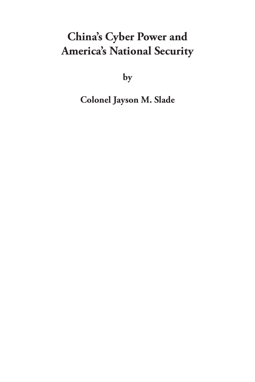## **China's Cyber Power and America's National Security**

**by**

**Colonel Jayson M. Slade**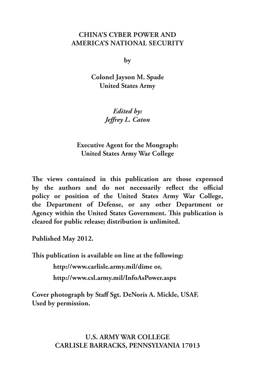### **CHINA'S CYBER POWER AND AMERICA'S NATIONAL SECURITY**

**by**

**Colonel Jayson M. Spade United States Army**

> *Edited by: Jeffrey L. Caton*

**Executive Agent for the Mongraph: United States Army War College**

**The views contained in this publication are those expressed by the authors and do not necessarily reflect the official policy or position of the United States Army War College, the Department of Defense, or any other Department or Agency within the United States Government. This publication is cleared for public release; distribution is unlimited.**

**Published May 2012.**

**This publication is available on line at the following:**

**[http://www.carlisle.army.mil/dime](http://www.carlisle.army.mil/dime/) or, <http://www.csl.army.mil/InfoAsPower.aspx>**

**Cover photograph by Staff Sgt. DeNoris A. Mickle, USAF. Used by permission.**

## **U.S. ARMY WAR COLLEGE CARLISLE BARRACKS, PENNSYLVANIA 17013**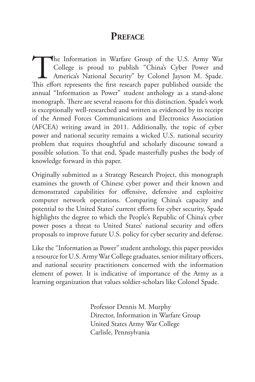## **Preface**

The Information in Warfare Group of the U.S. Army War<br>College is proud to publish "China's Cyber Power and<br>America's National Security" by Colonel Jayson M. Spade.<br>This effort represents the first research paper published College is proud to publish "China's Cyber Power and America's National Security" by Colonel Jayson M. Spade. This effort represents the first research paper published outside the annual "Information as Power" student anthology as a stand-alone monograph. There are several reasons for this distinction. Spade's work is exceptionally well-researched and written as evidenced by its receipt of the Armed Forces Communications and Electronics Association (AFCEA) writing award in 2011. Additionally, the topic of cyber power and national security remains a wicked U.S. national security problem that requires thoughtful and scholarly discourse toward a possible solution. To that end, Spade masterfully pushes the body of knowledge forward in this paper.

Originally submitted as a Strategy Research Project, this monograph examines the growth of Chinese cyber power and their known and demonstrated capabilities for offensive, defensive and exploitive computer network operations. Comparing China's capacity and potential to the United States' current efforts for cyber security, Spade highlights the degree to which the People's Republic of China's cyber power poses a threat to United States' national security and offers proposals to improve future U.S. policy for cyber security and defense.

Like the "Information as Power" student anthology, this paper provides a resource for U.S. Army War College graduates, senior military officers, and national security practitioners concerned with the information element of power. It is indicative of importance of the Army as a learning organization that values soldier-scholars like Colonel Spade.

> Professor Dennis M. Murphy Director, Information in Warfare Group United States Army War College Carlisle, Pennsylvania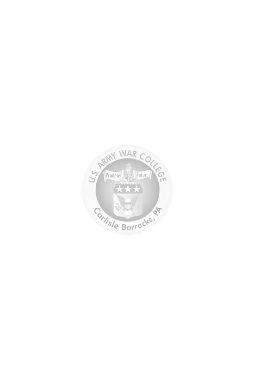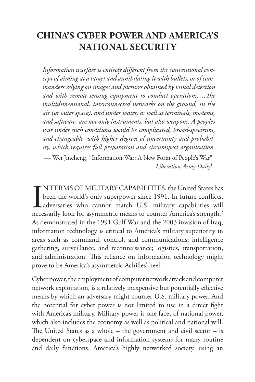## **CHINA'S CYBER POWER AND AMERICA'S NATIONAL SECURITY**

*Information warfare is entirely different from the conventional concept of aiming at a target and annihilating it with bullets, or of commanders relying on images and pictures obtained by visual detection and with remote-sensing equipment to conduct operations….The multidimensional, interconnected networks on the ground, in the air (or outer space), and under water, as well as terminals, modems, and software, are not only instruments, but also weapons. A people's war under such conditions would be complicated, broad-spectrum, and changeable, with higher degrees of uncertainty and probability, which requires full preparation and circumspect organization.*

— Wei Jincheng, "Information War: A New Form of People's War" *Liberation Army Daily*<sup>1</sup>

IMTERMS OF MILITARY CAPABILITIES, the United States has<br>been the world's only superpower since 1991. In future conflicts,<br>adversaries who cannot match U.S. military capabilities will<br>necessarily look for asymmetric means t N TERMS OF MILITARY CAPABILITIES, the United States has been the world's only superpower since 1991. In future conflicts, Ladversaries who cannot match U.S. military capabilities will As demonstrated in the 1991 Gulf War and the 2003 invasion of Iraq, information technology is critical to America's military superiority in areas such as command, control, and communications; intelligence gathering, surveillance, and reconnaissance; logistics, transportation, and administration. This reliance on information technology might prove to be America's asymmetric Achilles' heel.

Cyber power, the employment of computer network attack and computer network exploitation, is a relatively inexpensive but potentially effective means by which an adversary might counter U.S. military power. And the potential for cyber power is not limited to use in a direct fight with America's military. Military power is one facet of national power, which also includes the economy as well as political and national will. The United States as a whole – the government and civil sector – is dependent on cyberspace and information systems for many routine and daily functions. America's highly networked society, using an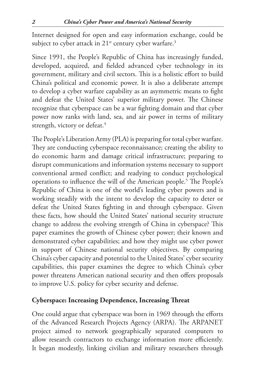Internet designed for open and easy information exchange, could be subject to cyber attack in  $21<sup>st</sup>$  century cyber warfare.<sup>3</sup>

Since 1991, the People's Republic of China has increasingly funded, developed, acquired, and fielded advanced cyber technology in its government, military and civil sectors. This is a holistic effort to build China's political and economic power. It is also a deliberate attempt to develop a cyber warfare capability as an asymmetric means to fight and defeat the United States' superior military power. The Chinese recognize that cyberspace can be a war fighting domain and that cyber power now ranks with land, sea, and air power in terms of military strength, victory or defeat.<sup>4</sup>

The People's Liberation Army (PLA) is preparing for total cyber warfare. They are conducting cyberspace reconnaissance; creating the ability to do economic harm and damage critical infrastructure; preparing to disrupt communications and information systems necessary to support conventional armed conflict; and readying to conduct psychological operations to influence the will of the American people.5 The People's Republic of China is one of the world's leading cyber powers and is working steadily with the intent to develop the capacity to deter or defeat the United States fighting in and through cyberspace. Given these facts, how should the United States' national security structure change to address the evolving strength of China in cyberspace? This paper examines the growth of Chinese cyber power; their known and demonstrated cyber capabilities; and how they might use cyber power in support of Chinese national security objectives. By comparing China's cyber capacity and potential to the United States' cyber security capabilities, this paper examines the degree to which China's cyber power threatens American national security and then offers proposals to improve U.S. policy for cyber security and defense.

### **Cyberspace: Increasing Dependence, Increasing Threat**

One could argue that cyberspace was born in 1969 through the efforts of the Advanced Research Projects Agency (ARPA). The ARPANET project aimed to network geographically separated computers to allow research contractors to exchange information more efficiently. It began modestly, linking civilian and military researchers through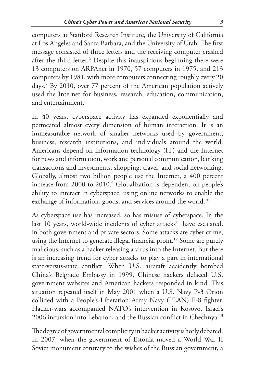computers at Stanford Research Institute, the University of California at Los Angeles and Santa Barbara, and the University of Utah. The first message consisted of three letters and the receiving computer crashed after the third letter.<sup>6</sup> Despite this inauspicious beginning there were 13 computers on ARPAnet in 1970, 57 computers in 1975, and 213 computers by 1981, with more computers connecting roughly every 20 days.7 By 2010, over 77 percent of the American population actively used the Internet for business, research, education, communication, and entertainment. $8$ 

In 40 years, cyberspace activity has expanded exponentially and permeated almost every dimension of human interaction. It is an immeasurable network of smaller networks used by government, business, research institutions, and individuals around the world. Americans depend on information technology (IT) and the Internet for news and information, work and personal communication, banking transactions and investments, shopping, travel, and social networking. Globally, almost two billion people use the Internet, a 400 percent increase from 2000 to 2010.9 Globalization is dependent on people's ability to interact in cyberspace, using online networks to enable the exchange of information, goods, and services around the world.<sup>10</sup>

As cyberspace use has increased, so has misuse of cyberspace. In the last 10 years, world-wide incidents of cyber attacks<sup>11</sup> have escalated, in both government and private sectors. Some attacks are cyber crime, using the Internet to generate illegal financial profit.<sup>12</sup> Some are purely malicious, such as a hacker releasing a virus into the Internet. But there is an increasing trend for cyber attacks to play a part in international state-versus-state conflict. When U.S. aircraft accidently bombed China's Belgrade Embassy in 1999, Chinese hackers defaced U.S. government websites and American hackers responded in kind. This situation repeated itself in May 2001 when a U.S. Navy P-3 Orion collided with a People's Liberation Army Navy (PLAN) F-8 fighter. Hacker-wars accompanied NATO's intervention in Kosovo, Israel's 2006 incursion into Lebanon, and the Russian conflict in Chechnya.13

The degree of governmental complicity in hacker activity is hotly debated. In 2007, when the government of Estonia moved a World War II Soviet monument contrary to the wishes of the Russian government, a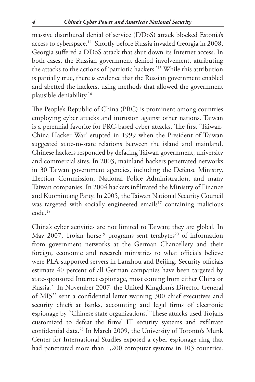massive distributed denial of service (DDoS) attack blocked Estonia's access to cyberspace.<sup>14</sup> Shortly before Russia invaded Georgia in 2008, Georgia suffered a DDoS attack that shut down its Internet access. In both cases, the Russian government denied involvement, attributing the attacks to the actions of 'patriotic hackers.'15 While this attribution is partially true, there is evidence that the Russian government enabled and abetted the hackers, using methods that allowed the government plausible deniability.16

The People's Republic of China (PRC) is prominent among countries employing cyber attacks and intrusion against other nations. Taiwan is a perennial favorite for PRC-based cyber attacks. The first 'Taiwan-China Hacker War' erupted in 1999 when the President of Taiwan suggested state-to-state relations between the island and mainland. Chinese hackers responded by defacing Taiwan government, university and commercial sites. In 2003, mainland hackers penetrated networks in 30 Taiwan government agencies, including the Defense Ministry, Election Commission, National Police Administration, and many Taiwan companies. In 2004 hackers infiltrated the Ministry of Finance and Kuomintang Party. In 2005, the Taiwan National Security Council was targeted with socially engineered emails<sup>17</sup> containing malicious code.18

China's cyber activities are not limited to Taiwan; they are global. In May 2007, Trojan horse<sup>19</sup> programs sent terabytes<sup>20</sup> of information from government networks at the German Chancellery and their foreign, economic and research ministries to what officials believe were PLA-supported servers in Lanzhou and Beijing. Security officials estimate 40 percent of all German companies have been targeted by state-sponsored Internet espionage, most coming from either China or Russia.21 In November 2007, the United Kingdom's Director-General of MI522 sent a confidential letter warning 300 chief executives and security chiefs at banks, accounting and legal firms of electronic espionage by "Chinese state organizations." These attacks used Trojans customized to defeat the firms' IT security systems and exfiltrate confidential data.<sup>23</sup> In March 2009, the University of Toronto's Munk Center for International Studies exposed a cyber espionage ring that had penetrated more than 1,200 computer systems in 103 countries.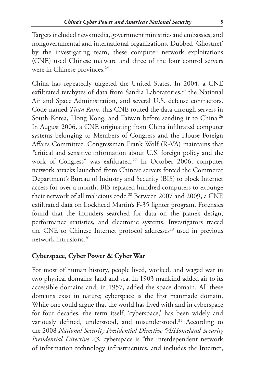Targets included news media, government ministries and embassies, and nongovernmental and international organizations. Dubbed 'Ghostnet' by the investigating team, these computer network exploitations (CNE) used Chinese malware and three of the four control servers were in Chinese provinces.<sup>24</sup>

China has repeatedly targeted the United States. In 2004, a CNE exfiltrated terabytes of data from Sandia Laboratories,<sup>25</sup> the National Air and Space Administration, and several U.S. defense contractors. Code-named *Titan Rain*, this CNE routed the data through servers in South Korea, Hong Kong, and Taiwan before sending it to China.<sup>26</sup> In August 2006, a CNE originating from China infiltrated computer systems belonging to Members of Congress and the House Foreign Affairs Committee. Congressman Frank Wolf (R-VA) maintains that *"*critical and sensitive information about U.S. foreign policy and the work of Congress" was exfiltrated.<sup>27</sup> In October 2006, computer network attacks launched from Chinese servers forced the Commerce Department's Bureau of Industry and Security (BIS) to block Internet access for over a month. BIS replaced hundred computers to expunge their network of all malicious code.<sup>28</sup> Between 2007 and 2009, a CNE exfiltrated data on Lockheed Martin's F-35 fighter program. Forensics found that the intruders searched for data on the plane's design, performance statistics, and electronic systems. Investigators traced the CNE to Chinese Internet protocol addresses<sup>29</sup> used in previous network intrusions.30

#### **Cyberspace, Cyber Power & Cyber War**

For most of human history, people lived, worked, and waged war in two physical domains: land and sea. In 1903 mankind added air to its accessible domains and, in 1957, added the space domain. All these domains exist in nature; cyberspace is the first manmade domain. While one could argue that the world has lived with and in cyberspace for four decades, the term itself, 'cyberspace,' has been widely and variously defined, understood, and misunderstood.<sup>31</sup> According to the 2008 *National Security Presidential Directive 54/Homeland Security Presidential Directive 23*, cyberspace is "the interdependent network of information technology infrastructures, and includes the Internet,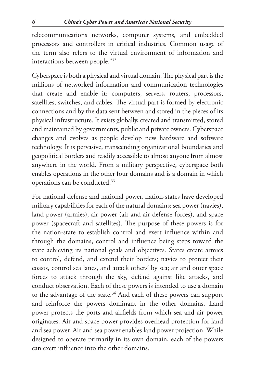telecommunications networks, computer systems, and embedded processors and controllers in critical industries. Common usage of the term also refers to the virtual environment of information and interactions between people."32

Cyberspace is both a physical and virtual domain. The physical part is the millions of networked information and communication technologies that create and enable it: computers, servers, routers, processors, satellites, switches, and cables. The virtual part is formed by electronic connections and by the data sent between and stored in the pieces of its physical infrastructure. It exists globally, created and transmitted, stored and maintained by governments, public and private owners. Cyberspace changes and evolves as people develop new hardware and software technology. It is pervasive, transcending organizational boundaries and geopolitical borders and readily accessible to almost anyone from almost anywhere in the world. From a military perspective, cyberspace both enables operations in the other four domains and is a domain in which operations can be conducted.33

For national defense and national power, nation-states have developed military capabilities for each of the natural domains: sea power (navies), land power (armies), air power (air and air defense forces), and space power (spacecraft and satellites). The purpose of these powers is for the nation-state to establish control and exert influence within and through the domains, control and influence being steps toward the state achieving its national goals and objectives. States create armies to control, defend, and extend their borders; navies to protect their coasts, control sea lanes, and attack others' by sea; air and outer space forces to attack through the sky, defend against like attacks, and conduct observation. Each of these powers is intended to use a domain to the advantage of the state.<sup>34</sup> And each of these powers can support and reinforce the powers dominant in the other domains. Land power protects the ports and airfields from which sea and air power originates. Air and space power provides overhead protection for land and sea power. Air and sea power enables land power projection. While designed to operate primarily in its own domain, each of the powers can exert influence into the other domains.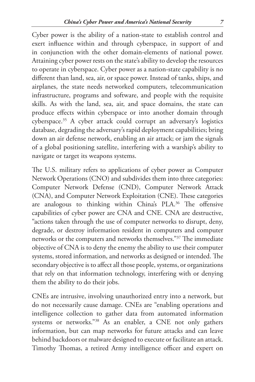Cyber power is the ability of a nation-state to establish control and exert influence within and through cyberspace, in support of and in conjunction with the other domain-elements of national power. Attaining cyber power rests on the state's ability to develop the resources to operate in cyberspace. Cyber power as a nation-state capability is no different than land, sea, air, or space power. Instead of tanks, ships, and airplanes, the state needs networked computers, telecommunication infrastructure, programs and software, and people with the requisite skills. As with the land, sea, air, and space domains, the state can produce effects within cyberspace or into another domain through cyberspace.35 A cyber attack could corrupt an adversary's logistics database, degrading the adversary's rapid deployment capabilities; bring down an air defense network, enabling an air attack; or jam the signals of a global positioning satellite, interfering with a warship's ability to navigate or target its weapons systems.

The U.S. military refers to applications of cyber power as Computer Network Operations (CNO) and subdivides them into three categories: Computer Network Defense (CND), Computer Network Attack (CNA), and Computer Network Exploitation (CNE). These categories are analogous to thinking within China's PLA.36 The offensive capabilities of cyber power are CNA and CNE. CNA are destructive, "actions taken through the use of computer networks to disrupt, deny, degrade, or destroy information resident in computers and computer networks or the computers and networks themselves."37 The immediate objective of CNA is to deny the enemy the ability to use their computer systems, stored information, and networks as designed or intended. The secondary objective is to affect all those people, systems, or organizations that rely on that information technology, interfering with or denying them the ability to do their jobs.

CNEs are intrusive, involving unauthorized entry into a network, but do not necessarily cause damage. CNEs are "enabling operations and intelligence collection to gather data from automated information systems or networks."38 As an enabler, a CNE not only gathers information, but can map networks for future attacks and can leave behind backdoors or malware designed to execute or facilitate an attack. Timothy Thomas, a retired Army intelligence officer and expert on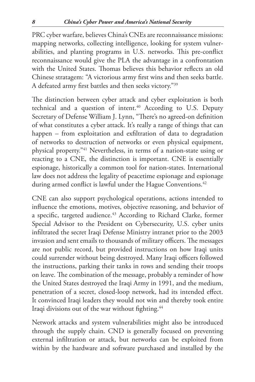PRC cyber warfare, believes China's CNEs are reconnaissance missions: mapping networks, collecting intelligence, looking for system vulnerabilities, and planting programs in U.S. networks. This pre-conflict reconnaissance would give the PLA the advantage in a confrontation with the United States. Thomas believes this behavior reflects an old Chinese stratagem: "A victorious army first wins and then seeks battle. A defeated army first battles and then seeks victory."39

The distinction between cyber attack and cyber exploitation is both technical and a question of intent.<sup>40</sup> According to U.S. Deputy Secretary of Defense William J. Lynn, "There's no agreed-on definition of what constitutes a cyber attack. It's really a range of things that can happen – from exploitation and exfiltration of data to degradation of networks to destruction of networks or even physical equipment, physical property."41 Nevertheless, in terms of a nation-state using or reacting to a CNE, the distinction is important. CNE is essentially espionage, historically a common tool for nation-states. International law does not address the legality of peacetime espionage and espionage during armed conflict is lawful under the Hague Conventions.<sup>42</sup>

CNE can also support psychological operations, actions intended to influence the emotions, motives, objective reasoning, and behavior of a specific, targeted audience.<sup>43</sup> According to Richard Clarke, former Special Advisor to the President on Cybersecurity, U.S. cyber units infiltrated the secret Iraqi Defense Ministry intranet prior to the 2003 invasion and sent emails to thousands of military officers. The messages are not public record, but provided instructions on how Iraqi units could surrender without being destroyed. Many Iraqi officers followed the instructions, parking their tanks in rows and sending their troops on leave. The combination of the message, probably a reminder of how the United States destroyed the Iraqi Army in 1991, and the medium, penetration of a secret, closed-loop network, had its intended effect. It convinced Iraqi leaders they would not win and thereby took entire Iraqi divisions out of the war without fighting.<sup>44</sup>

Network attacks and system vulnerabilities might also be introduced through the supply chain. CND is generally focused on preventing external infiltration or attack, but networks can be exploited from within by the hardware and software purchased and installed by the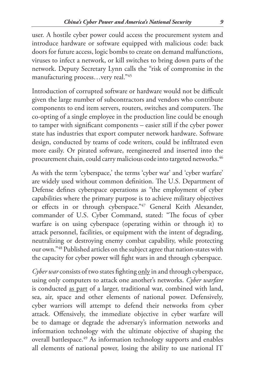user. A hostile cyber power could access the procurement system and introduce hardware or software equipped with malicious code: back doors for future access, logic bombs to create on demand malfunctions, viruses to infect a network, or kill switches to bring down parts of the network. Deputy Secretary Lynn calls the "risk of compromise in the manufacturing process...very real."45

Introduction of corrupted software or hardware would not be difficult given the large number of subcontractors and vendors who contribute components to end item servers, routers, switches and computers. The co-opting of a single employee in the production line could be enough to tamper with significant components – easier still if the cyber power state has industries that export computer network hardware. Software design, conducted by teams of code writers, could be infiltrated even more easily. Or pirated software, reengineered and inserted into the procurement chain, could carry malicious code into targeted networks.<sup>46</sup>

As with the term 'cyberspace,' the terms 'cyber war' and 'cyber warfare' are widely used without common definition. The U.S. Department of Defense defines cyberspace operations as "the employment of cyber capabilities where the primary purpose is to achieve military objectives or effects in or through cyberspace."47 General Keith Alexander, commander of U.S. Cyber Command, stated: "The focus of cyber warfare is on using cyberspace (operating within or through it) to attack personnel, facilities, or equipment with the intent of degrading, neutralizing or destroying enemy combat capability, while protecting our own."48 Published articles on the subject agree that nation-states with the capacity for cyber power will fight wars in and through cyberspace.

*Cyber war* consists of two states fighting only in and through cyberspace, using only computers to attack one another's networks. *Cyber warfare* is conducted as part of a larger, traditional war, combined with land, sea, air, space and other elements of national power. Defensively, cyber warriors will attempt to defend their networks from cyber attack. Offensively, the immediate objective in cyber warfare will be to damage or degrade the adversary's information networks and information technology with the ultimate objective of shaping the overall battlespace.<sup>49</sup> As information technology supports and enables all elements of national power, losing the ability to use national IT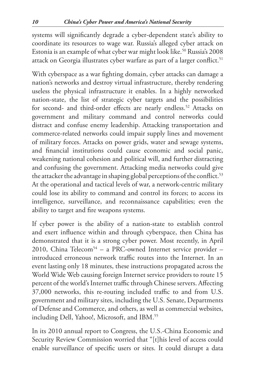systems will significantly degrade a cyber-dependent state's ability to coordinate its resources to wage war. Russia's alleged cyber attack on Estonia is an example of what cyber war might look like.<sup>50</sup> Russia's 2008 attack on Georgia illustrates cyber warfare as part of a larger conflict.<sup>51</sup>

With cyberspace as a war fighting domain, cyber attacks can damage a nation's networks and destroy virtual infrastructure, thereby rendering useless the physical infrastructure it enables. In a highly networked nation-state, the list of strategic cyber targets and the possibilities for second- and third-order effects are nearly endless.<sup>52</sup> Attacks on government and military command and control networks could distract and confuse enemy leadership. Attacking transportation and commerce-related networks could impair supply lines and movement of military forces. Attacks on power grids, water and sewage systems, and financial institutions could cause economic and social panic, weakening national cohesion and political will, and further distracting and confusing the government. Attacking media networks could give the attacker the advantage in shaping global perceptions of the conflict.<sup>53</sup> At the operational and tactical levels of war, a network-centric military could lose its ability to command and control its forces; to access its intelligence, surveillance, and reconnaissance capabilities; even the ability to target and fire weapons systems.

If cyber power is the ability of a nation-state to establish control and exert influence within and through cyberspace, then China has demonstrated that it is a strong cyber power. Most recently, in April 2010, China Telecom<sup>54</sup> – a PRC-owned Internet service provider – introduced erroneous network traffic routes into the Internet. In an event lasting only 18 minutes, these instructions propagated across the World Wide Web causing foreign Internet service providers to route 15 percent of the world's Internet traffic through Chinese servers. Affecting 37,000 networks, this re-routing included traffic to and from U.S. government and military sites, including the U.S. Senate, Departments of Defense and Commerce, and others, as well as commercial websites, including Dell, Yahoo!, Microsoft, and IBM.55

In its 2010 annual report to Congress, the U.S.-China Economic and Security Review Commission worried that "[t]his level of access could enable surveillance of specific users or sites. It could disrupt a data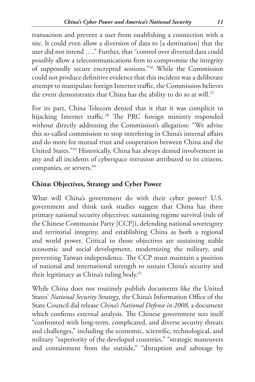transaction and prevent a user from establishing a connection with a site. It could even allow a diversion of data to [a destination] that the user did not intend …." Further, that "control over diverted data could possibly allow a telecommunications firm to compromise the integrity of supposedly secure encrypted sessions."56 While the Commission could not produce definitive evidence that this incident was a deliberate attempt to manipulate foreign Internet traffic, the Commission believes the event demonstrates that China has the ability to do so at will.<sup>57</sup>

For its part, China Telecom denied that it that it was complicit in hijacking Internet traffic.<sup>58</sup> The PRC foreign ministry responded without directly addressing the Commission's allegation: "We advise this so-called commission to stop interfering in China's internal affairs and do more for mutual trust and cooperation between China and the United States."59 Historically, China has always denied involvement in any and all incidents of cyberspace intrusion attributed to its citizens, companies, or servers.<sup>60</sup>

## **China: Objectives, Strategy and Cyber Power**

What will China's government do with their cyber power? U.S. government and think tank studies suggest that China has three primary national security objectives: sustaining regime survival (rule of the Chinese Communist Party [CCP]), defending national sovereignty and territorial integrity, and establishing China as both a regional and world power. Critical to those objectives are sustaining stable economic and social development, modernizing the military, and preventing Taiwan independence. The CCP must maintain a position of national and international strength to sustain China's security and their legitimacy as China's ruling body.<sup>61</sup>

While China does not routinely publish documents like the United States' *National Security Strategy*, the China's Information Office of the State Council did release *China's National Defense in 2008,* a document which confirms external analysis. The Chinese government sees itself "confronted with long-term, complicated, and diverse security threats and challenges," including the economic, scientific, technological, and military "superiority of the developed countries," "strategic maneuvers and containment from the outside," "disruption and sabotage by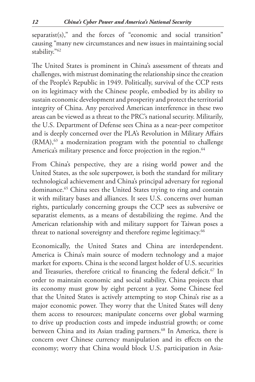separatist(s)," and the forces of "economic and social transition" causing "many new circumstances and new issues in maintaining social stability."62

The United States is prominent in China's assessment of threats and challenges, with mistrust dominating the relationship since the creation of the People's Republic in 1949. Politically, survival of the CCP rests on its legitimacy with the Chinese people, embodied by its ability to sustain economic development and prosperity and protect the territorial integrity of China. Any perceived American interference in these two areas can be viewed as a threat to the PRC's national security. Militarily, the U.S. Department of Defense sees China as a near-peer competitor and is deeply concerned over the PLA's Revolution in Military Affairs  $(RMA)$ ,<sup>63</sup> a modernization program with the potential to challenge America's military presence and force projection in the region.<sup>64</sup>

From China's perspective, they are a rising world power and the United States, as the sole superpower, is both the standard for military technological achievement and China's principal adversary for regional dominance.<sup>65</sup> China sees the United States trying to ring and contain it with military bases and alliances. It sees U.S. concerns over human rights, particularly concerning groups the CCP sees as subversive or separatist elements, as a means of destabilizing the regime. And the American relationship with and military support for Taiwan poses a threat to national sovereignty and therefore regime legitimacy.<sup>66</sup>

Economically, the United States and China are interdependent. America is China's main source of modern technology and a major market for exports. China is the second largest holder of U.S. securities and Treasuries, therefore critical to financing the federal deficit.<sup>67</sup> In order to maintain economic and social stability, China projects that its economy must grow by eight percent a year. Some Chinese feel that the United States is actively attempting to stop China's rise as a major economic power. They worry that the United States will deny them access to resources; manipulate concerns over global warming to drive up production costs and impede industrial growth; or come between China and its Asian trading partners.<sup>68</sup> In America, there is concern over Chinese currency manipulation and its effects on the economy; worry that China would block U.S. participation in Asia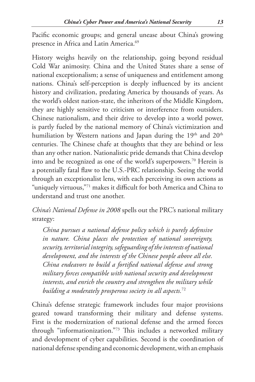Pacific economic groups; and general unease about China's growing presence in Africa and Latin America.<sup>69</sup>

History weighs heavily on the relationship, going beyond residual Cold War animosity. China and the United States share a sense of national exceptionalism; a sense of uniqueness and entitlement among nations. China's self-perception is deeply influenced by its ancient history and civilization, predating America by thousands of years. As the world's oldest nation-state, the inheritors of the Middle Kingdom, they are highly sensitive to criticism or interference from outsiders. Chinese nationalism, and their drive to develop into a world power, is partly fueled by the national memory of China's victimization and humiliation by Western nations and Japan during the 19<sup>th</sup> and 20<sup>th</sup> centuries. The Chinese chafe at thoughts that they are behind or less than any other nation. Nationalistic pride demands that China develop into and be recognized as one of the world's superpowers.70 Herein is a potentially fatal flaw to the U.S.-PRC relationship. Seeing the world through an exceptionalist lens, with each perceiving its own actions as "uniquely virtuous,"71 makes it difficult for both America and China to understand and trust one another.

*China's National Defense in 2008* spells out the PRC's national military strategy:

*China pursues a national defense policy which is purely defensive in nature. China places the protection of national sovereignty, security, territorial integrity, safeguarding of the interests of national development, and the interests of the Chinese people above all else. China endeavors to build a fortified national defense and strong military forces compatible with national security and development interests, and enrich the country and strengthen the military while building a moderately prosperous society in all aspects.*<sup>72</sup>

China's defense strategic framework includes four major provisions geared toward transforming their military and defense systems. First is the modernization of national defense and the armed forces through "informationization."73 This includes a networked military and development of cyber capabilities. Second is the coordination of national defense spending and economic development, with an emphasis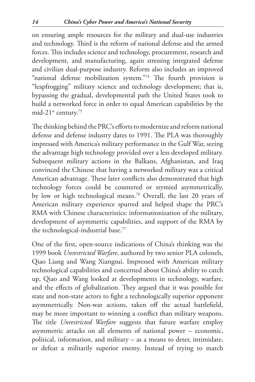on ensuring ample resources for the military and dual-use industries and technology. Third is the reform of national defense and the armed forces. This includes science and technology, procurement, research and development, and manufacturing, again stressing integrated defense and civilian dual-purpose industry. Reform also includes an improved "national defense mobilization system."74 The fourth provision is "leapfrogging" military science and technology development; that is, bypassing the gradual, developmental path the United States took to build a networked force in order to equal American capabilities by the mid-21<sup>st</sup> century.<sup>75</sup>

The thinking behind the PRC's efforts to modernize and reform national defense and defense industry dates to 1991. The PLA was thoroughly impressed with America's military performance in the Gulf War, seeing the advantage high technology provided over a less developed military. Subsequent military actions in the Balkans, Afghanistan, and Iraq convinced the Chinese that having a networked military was a critical American advantage. These later conflicts also demonstrated that high technology forces could be countered or stymied asymmetrically, by low or high technological means.<sup>76</sup> Overall, the last 20 years of American military experience spurred and helped shape the PRC's RMA with Chinese characteristics: informationization of the military, development of asymmetric capabilities, and support of the RMA by the technological-industrial base.<sup>77</sup>

One of the first, open-source indications of China's thinking was the 1999 book *Unrestricted Warfare*, authored by two senior PLA colonels, Qiao Liang and Wang Xiangsui. Impressed with American military technological capabilities and concerned about China's ability to catch up, Qiao and Wang looked at developments in technology, warfare, and the effects of globalization. They argued that it was possible for state and non-state actors to fight a technologically superior opponent asymmetrically. Non-war actions, taken off the actual battlefield, may be more important to winning a conflict than military weapons. The title *Unrestricted Warfare* suggests that future warfare employ asymmetric attacks on all elements of national power – economic, political, information, and military – as a means to deter, intimidate, or defeat a militarily superior enemy. Instead of trying to match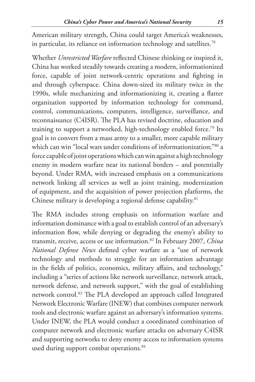American military strength, China could target America's weaknesses, in particular, its reliance on information technology and satellites.<sup>78</sup>

Whether *Unrestricted Warfare* reflected Chinese thinking or inspired it, China has worked steadily towards creating a modern, informationized force, capable of joint network-centric operations and fighting in and through cyberspace. China down-sized its military twice in the 1990s, while mechanizing and informationizing it, creating a flatter organization supported by information technology for command, control, communications, computers, intelligence, surveillance, and reconnaissance (C4ISR). The PLA has revised doctrine, education and training to support a networked, high-technology enabled force.79 Its goal is to convert from a mass army to a smaller, more capable military which can win "local wars under conditions of informationization;"80 a force capable of joint operations which can win against a high technology enemy in modern warfare near its national borders – and potentially beyond. Under RMA, with increased emphasis on a communications network linking all services as well as joint training, modernization of equipment, and the acquisition of power projection platforms, the Chinese military is developing a regional defense capability.<sup>81</sup>

The RMA includes strong emphasis on information warfare and information dominance with a goal to establish control of an adversary's information flow, while denying or degrading the enemy's ability to transmit, receive, access or use information.82 In February 2007, *China National Defense News* defined cyber warfare as a "use of network technology and methods to struggle for an information advantage in the fields of politics, economics, military affairs, and technology," including a "series of actions like network surveillance, network attack, network defense, and network support," with the goal of establishing network control.83 The PLA developed an approach called Integrated Network Electronic Warfare (INEW) that combines computer network tools and electronic warfare against an adversary's information systems. Under INEW, the PLA would conduct a coordinated combination of computer network and electronic warfare attacks on adversary C4ISR and supporting networks to deny enemy access to information systems used during support combat operations.<sup>84</sup>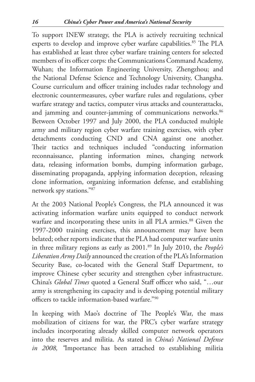To support INEW strategy, the PLA is actively recruiting technical experts to develop and improve cyber warfare capabilities.<sup>85</sup> The PLA has established at least three cyber warfare training centers for selected members of its officer corps: the Communications Command Academy, Wuhan; the Information Engineering University, Zhengzhou; and the National Defense Science and Technology University, Changsha. Course curriculum and officer training includes radar technology and electronic countermeasures, cyber warfare rules and regulations, cyber warfare strategy and tactics, computer virus attacks and counterattacks, and jamming and counter-jamming of communications networks.<sup>86</sup> Between October 1997 and July 2000, the PLA conducted multiple army and military region cyber warfare training exercises, with cyber detachments conducting CND and CNA against one another. Their tactics and techniques included "conducting information reconnaissance, planting information mines, changing network data, releasing information bombs, dumping information garbage, disseminating propaganda, applying information deception, releasing clone information, organizing information defense, and establishing network spy stations."87

At the 2003 National People's Congress, the PLA announced it was activating information warfare units equipped to conduct network warfare and incorporating these units in all PLA armies.<sup>88</sup> Given the 1997-2000 training exercises, this announcement may have been belated; other reports indicate that the PLA had computer warfare units in three military regions as early as 2001.<sup>89</sup> In July 2010, the *People's Liberation Army Daily* announced the creation of the PLA's Information Security Base, co-located with the General Staff Department, to improve Chinese cyber security and strengthen cyber infrastructure. China's *Global Times* quoted a General Staff officer who said, "…our army is strengthening its capacity and is developing potential military officers to tackle information-based warfare."90

In keeping with Mao's doctrine of The People's War, the mass mobilization of citizens for war, the PRC's cyber warfare strategy includes incorporating already skilled computer network operators into the reserves and militia. As stated in *China's National Defense in 2008, "*Importance has been attached to establishing militia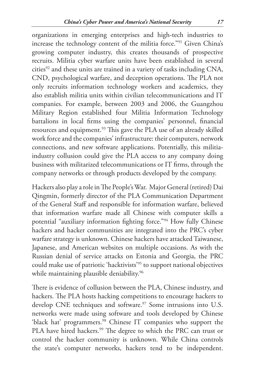organizations in emerging enterprises and high‐tech industries to increase the technology content of the militia force."91 Given China's growing computer industry, this creates thousands of prospective recruits. Militia cyber warfare units have been established in several cities<sup>92</sup> and these units are trained in a variety of tasks including CNA, CND, psychological warfare, and deception operations. The PLA not only recruits information technology workers and academics, they also establish militia units within civilian telecommunications and IT companies. For example, between 2003 and 2006, the Guangzhou Military Region established four Militia Information Technology battalions in local firms using the companies' personnel, financial resources and equipment.<sup>93</sup> This gave the PLA use of an already skilled work force and the companies' infrastructure: their computers, network connections, and new software applications. Potentially, this militiaindustry collusion could give the PLA access to any company doing business with militarized telecommunications or IT firms, through the company networks or through products developed by the company.

Hackers also play a role in The People's War. Major General (retired) Dai Qingmin, formerly director of the PLA Communication Department of the General Staff and responsible for information warfare, believed that information warfare made all Chinese with computer skills a potential "auxiliary information fighting force."94 How fully Chinese hackers and hacker communities are integrated into the PRC's cyber warfare strategy is unknown. Chinese hackers have attacked Taiwanese, Japanese, and American websites on multiple occasions. As with the Russian denial of service attacks on Estonia and Georgia, the PRC could make use of patriotic 'hacktivists'95 to support national objectives while maintaining plausible deniability.<sup>96</sup>

There is evidence of collusion between the PLA, Chinese industry, and hackers. The PLA hosts hacking competitions to encourage hackers to develop CNE techniques and software.<sup>97</sup> Some intrusions into U.S. networks were made using software and tools developed by Chinese 'black hat' programmers.<sup>98</sup> Chinese IT companies who support the PLA have hired hackers.<sup>99</sup> The degree to which the PRC can trust or control the hacker community is unknown. While China controls the state's computer networks, hackers tend to be independent.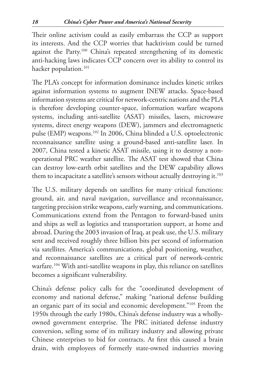Their online activism could as easily embarrass the CCP as support its interests. And the CCP worries that hacktivism could be turned against the Party.<sup>100</sup> China's repeated strengthening of its domestic anti-hacking laws indicates CCP concern over its ability to control its hacker population.<sup>101</sup>

The PLA's concept for information dominance includes kinetic strikes against information systems to augment INEW attacks. Space-based information systems are critical for network-centric nations and the PLA is therefore developing counter-space, information warfare weapons systems, including anti-satellite (ASAT) missiles, lasers, microwave systems, direct energy weapons (DEW), jammers and electromagnetic pulse (EMP) weapons.102 In 2006, China blinded a U.S. optoelectronic reconnaissance satellite using a ground-based anti-satellite laser. In 2007, China tested a kinetic ASAT missile, using it to destroy a nonoperational PRC weather satellite. The ASAT test showed that China can destroy low-earth orbit satellites and the DEW capability allows them to incapacitate a satellite's sensors without actually destroying it.<sup>103</sup>

The U.S. military depends on satellites for many critical functions: ground, air, and naval navigation, surveillance and reconnaissance, targeting precision strike weapons, early warning, and communications. Communications extend from the Pentagon to forward-based units and ships as well as logistics and transportation support, at home and abroad. During the 2003 invasion of Iraq, at peak use, the U.S. military sent and received roughly three billion bits per second of information via satellites. America's communications, global positioning, weather, and reconnaissance satellites are a critical part of network-centric warfare.<sup>104</sup> With anti-satellite weapons in play, this reliance on satellites becomes a significant vulnerability.

China's defense policy calls for the "coordinated development of economy and national defense," making "national defense building an organic part of its social and economic development."105 From the 1950s through the early 1980s, China's defense industry was a whollyowned government enterprise. The PRC initiated defense industry conversion, selling some of its military industry and allowing private Chinese enterprises to bid for contracts. At first this caused a brain drain, with employees of formerly state-owned industries moving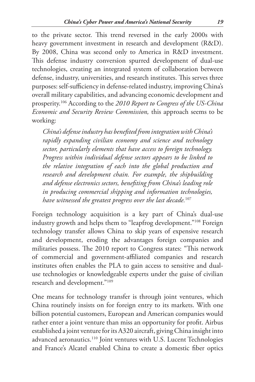to the private sector. This trend reversed in the early 2000s with heavy government investment in research and development (R&D). By 2008, China was second only to America in R&D investment. This defense industry conversion spurred development of dual-use technologies, creating an integrated system of collaboration between defense, industry, universities, and research institutes. This serves three purposes: self-sufficiency in defense-related industry, improving China's overall military capabilities, and advancing economic development and prosperity.106 According to the *2010 Report to Congress of the US-China Economic and Security Review Commission,* this approach seems to be working:

*China's defense industry has benefited from integration with China's rapidly expanding civilian economy and science and technology sector, particularly elements that have access to foreign technology. Progress within individual defense sectors appears to be linked to the relative integration of each into the global production and research and development chain. For example, the shipbuilding and defense electronics sectors, benefiting from China's leading role in producing commercial shipping and information technologies, have witnessed the greatest progress over the last decade.*<sup>107</sup>

Foreign technology acquisition is a key part of China's dual-use industry growth and helps them to "leapfrog development."108 Foreign technology transfer allows China to skip years of expensive research and development, eroding the advantages foreign companies and militaries possess. The 2010 report to Congress states: "This network of commercial and government-affiliated companies and research institutes often enables the PLA to gain access to sensitive and dualuse technologies or knowledgeable experts under the guise of civilian research and development."109

One means for technology transfer is through joint ventures, which China routinely insists on for foreign entry to its markets. With one billion potential customers, European and American companies would rather enter a joint venture than miss an opportunity for profit. Airbus established a joint venture for its A320 aircraft, giving China insight into advanced aeronautics.<sup>110</sup> Joint ventures with U.S. Lucent Technologies and France's Alcatel enabled China to create a domestic fiber optics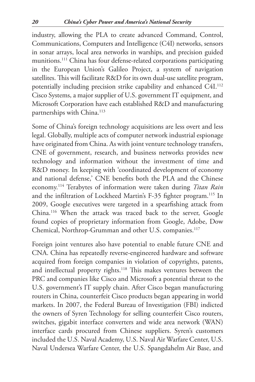industry, allowing the PLA to create advanced Command, Control, Communications, Computers and Intelligence (C4I) networks, sensors in sonar arrays, local area networks in warships, and precision guided munitions.111 China has four defense-related corporations participating in the European Union's Galileo Project, a system of navigation satellites. This will facilitate R&D for its own dual-use satellite program, potentially including precision strike capability and enhanced C4I.<sup>112</sup> Cisco Systems, a major supplier of U.S. government IT equipment, and Microsoft Corporation have each established R&D and manufacturing partnerships with China.<sup>113</sup>

Some of China's foreign technology acquisitions are less overt and less legal. Globally, multiple acts of computer network industrial espionage have originated from China. As with joint venture technology transfers, CNE of government, research, and business networks provides new technology and information without the investment of time and R&D money. In keeping with 'coordinated development of economy and national defense,' CNE benefits both the PLA and the Chinese economy.114 Terabytes of information were taken during *Titan Rain* and the infiltration of Lockheed Martin's F-35 fighter program.<sup>115</sup> In 2009, Google executives were targeted in a spearfishing attack from China.116 When the attack was traced back to the server, Google found copies of proprietary information from Google, Adobe, Dow Chemical, Northrop-Grumman and other U.S. companies.117

Foreign joint ventures also have potential to enable future CNE and CNA. China has repeatedly reverse-engineered hardware and software acquired from foreign companies in violation of copyrights, patents, and intellectual property rights.<sup>118</sup> This makes ventures between the PRC and companies like Cisco and Microsoft a potential threat to the U.S. government's IT supply chain. After Cisco began manufacturing routers in China, counterfeit Cisco products began appearing in world markets. In 2007, the Federal Bureau of Investigation (FBI) indicted the owners of Syren Technology for selling counterfeit Cisco routers, switches, gigabit interface converters and wide area network (WAN) interface cards procured from Chinese suppliers. Syren's customers included the U.S. Naval Academy, U.S. Naval Air Warfare Center, U.S. Naval Undersea Warfare Center, the U.S. Spangdahelm Air Base, and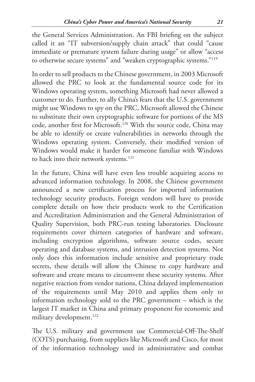the General Services Administration. An FBI briefing on the subject called it an "IT subversion/supply chain attack" that could "cause immediate or premature system failure during usage" or allow "access to otherwise secure systems" and "weaken cryptographic systems."119

In order to sell products to the Chinese government, in 2003 Microsoft allowed the PRC to look at the fundamental source code for its Windows operating system, something Microsoft had never allowed a customer to do. Further, to ally China's fears that the U.S. government might use Windows to spy on the PRC, Microsoft allowed the Chinese to substitute their own cryptographic software for portions of the MS code, another first for Microsoft.120 With the source code, China may be able to identify or create vulnerabilities in networks through the Windows operating system. Conversely, their modified version of Windows would make it harder for someone familiar with Windows to hack into their network systems.<sup>121</sup>

In the future, China will have even less trouble acquiring access to advanced information technology. In 2008, the Chinese government announced a new certification process for imported information technology security products. Foreign vendors will have to provide complete details on how their products work to the Certification and Accreditation Administration and the General Administration of Quality Supervision, both PRC-run testing laboratories. Disclosure requirements cover thirteen categories of hardware and software, including encryption algorithms, software source codes, secure operating and database systems, and intrusion detection systems. Not only does this information include sensitive and proprietary trade secrets, these details will allow the Chinese to copy hardware and software and create means to circumvent these security systems. After negative reaction from vendor nations, China delayed implementation of the requirements until May 2010 and applies them only to information technology sold to the PRC government – which is the largest IT market in China and primary proponent for economic and military development.<sup>122</sup>

The U.S. military and government use Commercial-Off-The-Shelf (COTS) purchasing, from suppliers like Microsoft and Cisco, for most of the information technology used in administrative and combat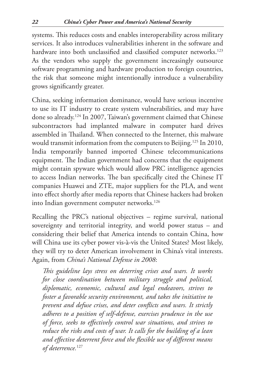systems. This reduces costs and enables interoperability across military services. It also introduces vulnerabilities inherent in the software and hardware into both unclassified and classified computer networks.<sup>123</sup> As the vendors who supply the government increasingly outsource software programming and hardware production to foreign countries, the risk that someone might intentionally introduce a vulnerability grows significantly greater.

China, seeking information dominance, would have serious incentive to use its IT industry to create system vulnerabilities, and may have done so already.124 In 2007, Taiwan's government claimed that Chinese subcontractors had implanted malware in computer hard drives assembled in Thailand. When connected to the Internet, this malware would transmit information from the computers to Beijing.<sup>125</sup> In 2010, India temporarily banned imported Chinese telecommunications equipment. The Indian government had concerns that the equipment might contain spyware which would allow PRC intelligence agencies to access Indian networks. The ban specifically cited the Chinese IT companies Huawei and ZTE, major suppliers for the PLA, and went into effect shortly after media reports that Chinese hackers had broken into Indian government computer networks.<sup>126</sup>

Recalling the PRC's national objectives – regime survival, national sovereignty and territorial integrity, and world power status – and considering their belief that America intends to contain China, how will China use its cyber power vis-à-vis the United States? Most likely, they will try to deter American involvement in China's vital interests. Again, from *China's National Defense in 2008*:

*This guideline lays stress on deterring crises and wars. It works for close coordination between military struggle and political, diplomatic, economic, cultural and legal endeavors, strives to foster a favorable security environment, and takes the initiative to prevent and defuse crises, and deter conflicts and wars. It strictly adheres to a position of self‐defense, exercises prudence in the use of force, seeks to effectively control war situations, and strives to reduce the risks and costs of war. It calls for the building of a lean and effective deterrent force and the flexible use of different means of deterrence.*127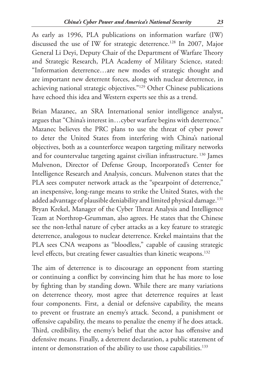As early as 1996, PLA publications on information warfare (IW) discussed the use of IW for strategic deterrence.<sup>128</sup> In 2007, Major General Li Deyi, Deputy Chair of the Department of Warfare Theory and Strategic Research, PLA Academy of Military Science, stated: "Information deterrence…are new modes of strategic thought and are important new deterrent forces, along with nuclear deterrence, in achieving national strategic objectives."129 Other Chinese publications have echoed this idea and Western experts see this as a trend.

Brian Mazanec, an SRA International senior intelligence analyst, argues that "China's interest in…cyber warfare begins with deterrence." Mazanec believes the PRC plans to use the threat of cyber power to deter the United States from interfering with China's national objectives, both as a counterforce weapon targeting military networks and for countervalue targeting against civilian infrastructure. 130 James Mulvenon, Director of Defense Group, Incorporated's Center for Intelligence Research and Analysis, concurs. Mulvenon states that the PLA sees computer network attack as the "spearpoint of deterrence," an inexpensive, long-range means to strike the United States, with the added advantage of plausible deniability and limited physical damage.<sup>131</sup> Bryan Krekel, Manager of the Cyber Threat Analysis and Intelligence Team at Northrop-Grumman, also agrees. He states that the Chinese see the non-lethal nature of cyber attacks as a key feature to strategic deterrence, analogous to nuclear deterrence. Krekel maintains that the PLA sees CNA weapons as "bloodless," capable of causing strategic level effects, but creating fewer casualties than kinetic weapons.<sup>132</sup>

The aim of deterrence is to discourage an opponent from starting or continuing a conflict by convincing him that he has more to lose by fighting than by standing down. While there are many variations on deterrence theory, most agree that deterrence requires at least four components. First, a denial or defensive capability, the means to prevent or frustrate an enemy's attack. Second, a punishment or offensive capability, the means to penalize the enemy if he does attack. Third, credibility, the enemy's belief that the actor has offensive and defensive means. Finally, a deterrent declaration, a public statement of intent or demonstration of the ability to use those capabilities.<sup>133</sup>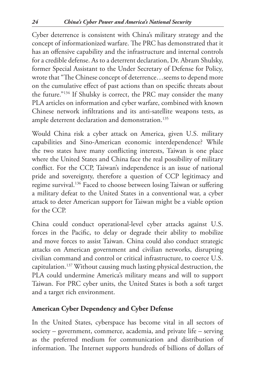Cyber deterrence is consistent with China's military strategy and the concept of informationized warfare. The PRC has demonstrated that it has an offensive capability and the infrastructure and internal controls for a credible defense. As to a deterrent declaration, Dr. Abram Shulsky, former Special Assistant to the Under Secretary of Defense for Policy, wrote that "The Chinese concept of deterrence…seems to depend more on the cumulative effect of past actions than on specific threats about the future."134 If Shulsky is correct, the PRC may consider the many PLA articles on information and cyber warfare, combined with known Chinese network infiltrations and its anti-satellite weapons tests, as ample deterrent declaration and demonstration.<sup>135</sup>

Would China risk a cyber attack on America, given U.S. military capabilities and Sino-American economic interdependence? While the two states have many conflicting interests, Taiwan is one place where the United States and China face the real possibility of military conflict. For the CCP, Taiwan's independence is an issue of national pride and sovereignty, therefore a question of CCP legitimacy and regime survival.<sup>136</sup> Faced to choose between losing Taiwan or suffering a military defeat to the United States in a conventional war, a cyber attack to deter American support for Taiwan might be a viable option for the CCP.

China could conduct operational-level cyber attacks against U.S. forces in the Pacific, to delay or degrade their ability to mobilize and move forces to assist Taiwan. China could also conduct strategic attacks on American government and civilian networks, disrupting civilian command and control or critical infrastructure, to coerce U.S. capitulation.137 Without causing much lasting physical destruction, the PLA could undermine America's military means and will to support Taiwan. For PRC cyber units, the United States is both a soft target and a target rich environment.

## **American Cyber Dependency and Cyber Defense**

In the United States, cyberspace has become vital in all sectors of society – government, commerce, academia, and private life – serving as the preferred medium for communication and distribution of information. The Internet supports hundreds of billions of dollars of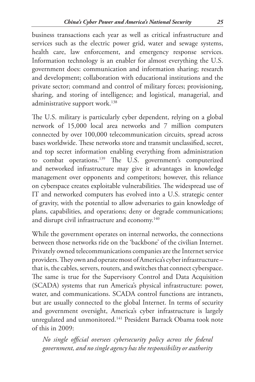business transactions each year as well as critical infrastructure and services such as the electric power grid, water and sewage systems, health care, law enforcement, and emergency response services. Information technology is an enabler for almost everything the U.S. government does: communication and information sharing; research and development; collaboration with educational institutions and the private sector; command and control of military forces; provisioning, sharing, and storing of intelligence; and logistical, managerial, and administrative support work.<sup>138</sup>

The U.S. military is particularly cyber dependent, relying on a global network of 15,000 local area networks and 7 million computers connected by over 100,000 telecommunication circuits, spread across bases worldwide. These networks store and transmit unclassified, secret, and top secret information enabling everything from administration to combat operations.<sup>139</sup> The U.S. government's computerized and networked infrastructure may give it advantages in knowledge management over opponents and competitors; however, this reliance on cyberspace creates exploitable vulnerabilities. The widespread use of IT and networked computers has evolved into a U.S. strategic center of gravity, with the potential to allow adversaries to gain knowledge of plans, capabilities, and operations; deny or degrade communications; and disrupt civil infrastructure and economy.<sup>140</sup>

While the government operates on internal networks, the connections between those networks ride on the 'backbone' of the civilian Internet. Privately owned telecommunications companies are the Internet service providers. They own and operate most of America's cyber infrastructure – that is, the cables, servers, routers, and switches that connect cyberspace. The same is true for the Supervisory Control and Data Acquisition (SCADA) systems that run America's physical infrastructure: power, water, and communications. SCADA control functions are intranets, but are usually connected to the global Internet. In terms of security and government oversight, America's cyber infrastructure is largely unregulated and unmonitored.<sup>141</sup> President Barrack Obama took note of this in 2009:

*No single official oversees cybersecurity policy across the federal government, and no single agency has the responsibility or authority*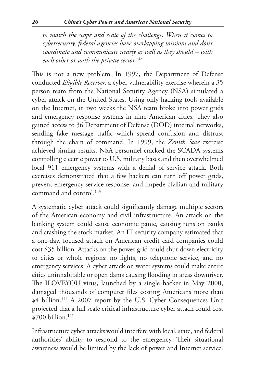to match the scope and scale of the challenge. When it comes to *cybersecurity, federal agencies have overlapping missions and don't coordinate and communicate nearly as well as they should – with each other or with the private sector.*<sup>142</sup>

This is not a new problem. In 1997, the Department of Defense conducted *Eligible Receiver,* a cyber vulnerability exercise wherein a 35 person team from the National Security Agency (NSA) simulated a cyber attack on the United States. Using only hacking tools available on the Internet, in two weeks the NSA team broke into power grids and emergency response systems in nine American cities. They also gained access to 36 Department of Defense (DOD) internal networks, sending fake message traffic which spread confusion and distrust through the chain of command. In 1999, the *Zenith Star* exercise achieved similar results. NSA personnel cracked the SCADA systems controlling electric power to U.S. military bases and then overwhelmed local 911 emergency systems with a denial of service attack. Both exercises demonstrated that a few hackers can turn off power grids, prevent emergency service response, and impede civilian and military command and control.143

A systematic cyber attack could significantly damage multiple sectors of the American economy and civil infrastructure. An attack on the banking system could cause economic panic, causing runs on banks and crashing the stock market. An IT security company estimated that a one-day, focused attack on American credit card companies could cost \$35 billion. Attacks on the power grid could shut down electricity to cities or whole regions: no lights, no telephone service, and no emergency services. A cyber attack on water systems could make entire cities uninhabitable or open dams causing flooding in areas downriver. The ILOVEYOU virus, launched by a single hacker in May 2000, damaged thousands of computer files costing Americans more than \$4 billion.<sup>144</sup> A 2007 report by the U.S. Cyber Consequences Unit projected that a full scale critical infrastructure cyber attack could cost \$700 billion.<sup>145</sup>

Infrastructure cyber attacks would interfere with local, state, and federal authorities' ability to respond to the emergency. Their situational awareness would be limited by the lack of power and Internet service.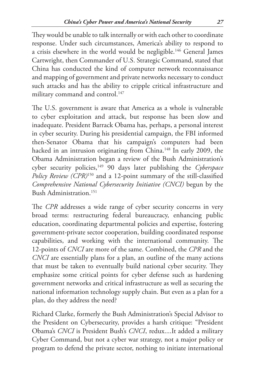They would be unable to talk internally or with each other to coordinate response. Under such circumstances, America's ability to respond to a crisis elsewhere in the world would be negligible.<sup>146</sup> General James Cartwright, then Commander of U.S. Strategic Command, stated that China has conducted the kind of computer network reconnaissance and mapping of government and private networks necessary to conduct such attacks and has the ability to cripple critical infrastructure and military command and control.<sup>147</sup>

The U.S. government is aware that America as a whole is vulnerable to cyber exploitation and attack, but response has been slow and inadequate. President Barrack Obama has, perhaps, a personal interest in cyber security. During his presidential campaign, the FBI informed then-Senator Obama that his campaign's computers had been hacked in an intrusion originating from China.<sup>148</sup> In early 2009, the Obama Administration began a review of the Bush Administration's cyber security policies,149 90 days later publishing the *Cyberspace Policy Review (CPR)*150 and a 12-point summary of the still-classified *Comprehensive National Cybersecurity Initiative (CNCI)* begun by the Bush Administration.151

The *CPR* addresses a wide range of cyber security concerns in very broad terms: restructuring federal bureaucracy, enhancing public education, coordinating departmental policies and expertise, fostering government-private sector cooperation, building coordinated response capabilities, and working with the international community. The 12-points of *CNCI* are more of the same. Combined, the *CPR* and the *CNCI* are essentially plans for a plan, an outline of the many actions that must be taken to eventually build national cyber security. They emphasize some critical points for cyber defense such as hardening government networks and critical infrastructure as well as securing the national information technology supply chain. But even as a plan for a plan, do they address the need?

Richard Clarke, formerly the Bush Administration's Special Advisor to the President on Cybersecurity, provides a harsh critique: "President Obama's *CNCI* is President Bush's *CNCI*, redux....It added a military Cyber Command, but not a cyber war strategy, not a major policy or program to defend the private sector, nothing to initiate international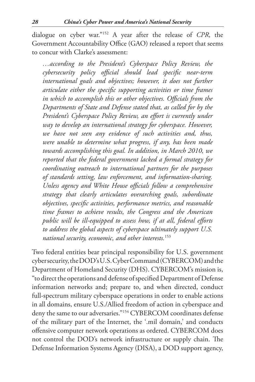dialogue on cyber war."152 A year after the release of *CPR*, the Government Accountability Office (GAO) released a report that seems to concur with Clarke's assessment:

*…according to the President's Cyberspace Policy Review, the cybersecurity policy official should lead specific near-term international goals and objectives; however, it does not further articulate either the specific supporting activities or time frames in which to accomplish this or other objectives. Officials from the Departments of State and Defense stated that, as called for by the President's Cyberspace Policy Review, an effort is currently under way to develop an international strategy for cyberspace. However, we have not seen any evidence of such activities and, thus, were unable to determine what progress, if any, has been made towards accomplishing this goal. In addition, in March 2010, we reported that the federal government lacked a formal strategy for coordinating outreach to international partners for the purposes of standards setting, law enforcement, and information-sharing. Unless agency and White House officials follow a comprehensive strategy that clearly articulates overarching goals, subordinate objectives, specific activities, performance metrics, and reasonable time frames to achieve results, the Congress and the American public will be ill-equipped to assess how, if at all, federal efforts to address the global aspects of cyberspace ultimately support U.S. national security, economic, and other interests.*<sup>153</sup>

Two federal entities bear principal responsibility for U.S. government cyber security, the DOD's U.S. Cyber Command (CYBERCOM) and the Department of Homeland Security (DHS). CYBERCOM's mission is, "to direct the operations and defense of specified Department of Defense information networks and; prepare to, and when directed, conduct full-spectrum military cyberspace operations in order to enable actions in all domains, ensure U.S./Allied freedom of action in cyberspace and deny the same to our adversaries."154 CYBERCOM coordinates defense of the military part of the Internet, the '.mil domain,' and conducts offensive computer network operations as ordered. CYBERCOM does not control the DOD's network infrastructure or supply chain. The Defense Information Systems Agency (DISA), a DOD support agency,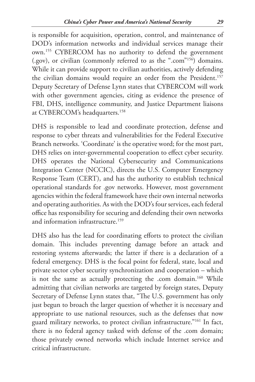is responsible for acquisition, operation, control, and maintenance of DOD's information networks and individual services manage their own.155 CYBERCOM has no authority to defend the government (.gov), or civilian (commonly referred to as the ".com"156) domains. While it can provide support to civilian authorities, actively defending the civilian domains would require an order from the President.<sup>157</sup> Deputy Secretary of Defense Lynn states that CYBERCOM will work with other government agencies, citing as evidence the presence of FBI, DHS, intelligence community, and Justice Department liaisons at CYBERCOM's headquarters.158

DHS is responsible to lead and coordinate protection, defense and response to cyber threats and vulnerabilities for the Federal Executive Branch networks. 'Coordinate' is the operative word; for the most part, DHS relies on inter-governmental cooperation to effect cyber security. DHS operates the National Cybersecurity and Communications Integration Center (NCCIC), directs the U.S. Computer Emergency Response Team (CERT), and has the authority to establish technical operational standards for .gov networks. However, most government agencies within the federal framework have their own internal networks and operating authorities. As with the DOD's four services, each federal office has responsibility for securing and defending their own networks and information infrastructure.159

DHS also has the lead for coordinating efforts to protect the civilian domain. This includes preventing damage before an attack and restoring systems afterwards; the latter if there is a declaration of a federal emergency. DHS is the focal point for federal, state, local and private sector cyber security synchronization and cooperation – which is not the same as actually protecting the .com domain.<sup>160</sup> While admitting that civilian networks are targeted by foreign states, Deputy Secretary of Defense Lynn states that, "The U.S. government has only just begun to broach the larger question of whether it is necessary and appropriate to use national resources, such as the defenses that now guard military networks, to protect civilian infrastructure."161 In fact, there is no federal agency tasked with defense of the .com domain; those privately owned networks which include Internet service and critical infrastructure.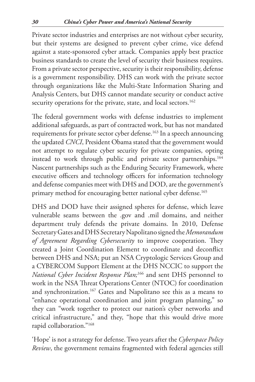Private sector industries and enterprises are not without cyber security, but their systems are designed to prevent cyber crime, vice defend against a state-sponsored cyber attack. Companies apply best practice business standards to create the level of security their business requires. From a private sector perspective, security is their responsibility, defense is a government responsibility. DHS can work with the private sector through organizations like the Multi-State Information Sharing and Analysis Centers, but DHS cannot mandate security or conduct active security operations for the private, state, and local sectors.<sup>162</sup>

The federal government works with defense industries to implement additional safeguards, as part of contracted work, but has not mandated requirements for private sector cyber defense.<sup>163</sup> In a speech announcing the updated *CNCI*, President Obama stated that the government would not attempt to regulate cyber security for private companies, opting instead to work through public and private sector partnerships.<sup>164</sup> Nascent partnerships such as the Enduring Security Framework, where executive officers and technology officers for information technology and defense companies meet with DHS and DOD, are the government's primary method for encouraging better national cyber defense.<sup>165</sup>

DHS and DOD have their assigned spheres for defense, which leave vulnerable seams between the .gov and .mil domains, and neither department truly defends the private domains. In 2010, Defense Secretary Gates and DHS Secretary Napolitano signed the *Memorandum of Agreement Regarding Cybersecurity* to improve cooperation. They created a Joint Coordination Element to coordinate and deconflict between DHS and NSA; put an NSA Cryptologic Services Group and a CYBERCOM Support Element at the DHS NCCIC to support the *National Cyber Incident Response Plan;*166 and sent DHS personnel to work in the NSA Threat Operations Center (NTOC) for coordination and synchronization.<sup>167</sup> Gates and Napolitano see this as a means to "enhance operational coordination and joint program planning," so they can "work together to protect our nation's cyber networks and critical infrastructure," and they, "hope that this would drive more rapid collaboration."168

'Hope' is not a strategy for defense. Two years after the *Cyberspace Policy Review*, the government remains fragmented with federal agencies still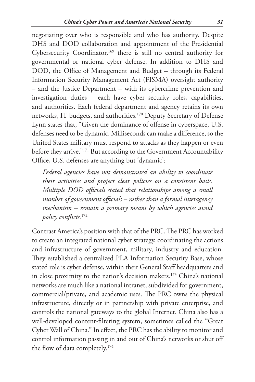negotiating over who is responsible and who has authority. Despite DHS and DOD collaboration and appointment of the Presidential Cybersecurity Coordinator,<sup>169</sup> there is still no central authority for governmental or national cyber defense. In addition to DHS and DOD, the Office of Management and Budget – through its Federal Information Security Management Act (FISMA) oversight authority – and the Justice Department – with its cybercrime prevention and investigation duties – each have cyber security roles, capabilities, and authorities. Each federal department and agency retains its own networks, IT budgets, and authorities.170 Deputy Secretary of Defense Lynn states that, "Given the dominance of offense in cyberspace, U.S. defenses need to be dynamic. Milliseconds can make a difference, so the United States military must respond to attacks as they happen or even before they arrive."<sup>171</sup> But according to the Government Accountability Office, U.S. defenses are anything but 'dynamic':

*Federal agencies have not demonstrated an ability to coordinate their activities and project clear policies on a consistent basis. Multiple DOD officials stated that relationships among a small number of government officials – rather than a formal interagency mechanism – remain a primary means by which agencies avoid policy conflicts.*<sup>172</sup>

Contrast America's position with that of the PRC. The PRC has worked to create an integrated national cyber strategy, coordinating the actions and infrastructure of government, military, industry and education. They established a centralized PLA Information Security Base, whose stated role is cyber defense, within their General Staff headquarters and in close proximity to the nation's decision makers.173 China's national networks are much like a national intranet, subdivided for government, commercial/private, and academic uses. The PRC owns the physical infrastructure, directly or in partnership with private enterprise, and controls the national gateways to the global Internet. China also has a well-developed content-filtering system, sometimes called the "Great Cyber Wall of China." In effect, the PRC has the ability to monitor and control information passing in and out of China's networks or shut off the flow of data completely.174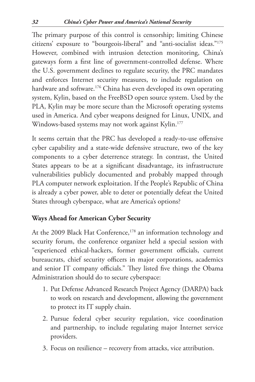The primary purpose of this control is censorship; limiting Chinese citizens' exposure to "bourgeois-liberal" and "anti-socialist ideas."175 However, combined with intrusion detection monitoring, China's gateways form a first line of government-controlled defense. Where the U.S. government declines to regulate security, the PRC mandates and enforces Internet security measures, to include regulation on hardware and software.<sup>176</sup> China has even developed its own operating system, Kylin, based on the FreeBSD open source system. Used by the PLA, Kylin may be more secure than the Microsoft operating systems used in America. And cyber weapons designed for Linux, UNIX, and Windows-based systems may not work against Kylin.<sup>177</sup>

It seems certain that the PRC has developed a ready-to-use offensive cyber capability and a state-wide defensive structure, two of the key components to a cyber deterrence strategy. In contrast, the United States appears to be at a significant disadvantage, its infrastructure vulnerabilities publicly documented and probably mapped through PLA computer network exploitation. If the People's Republic of China is already a cyber power, able to deter or potentially defeat the United States through cyberspace, what are America's options?

## **Ways Ahead for American Cyber Security**

At the 2009 Black Hat Conference,<sup>178</sup> an information technology and security forum, the conference organizer held a special session with "experienced ethical-hackers, former government officials, current bureaucrats, chief security officers in major corporations, academics and senior IT company officials." They listed five things the Obama Administration should do to secure cyberspace:

- 1. Put Defense Advanced Research Project Agency (DARPA) back to work on research and development, allowing the government to protect its IT supply chain.
- 2. Pursue federal cyber security regulation, vice coordination and partnership, to include regulating major Internet service providers.
- 3. Focus on resilience recovery from attacks, vice attribution.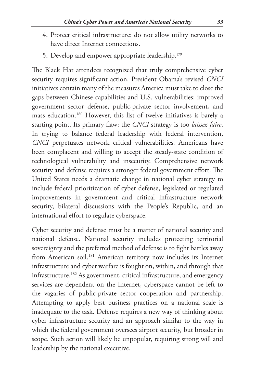- 4. Protect critical infrastructure: do not allow utility networks to have direct Internet connections.
- 5. Develop and empower appropriate leadership.<sup>179</sup>

The Black Hat attendees recognized that truly comprehensive cyber security requires significant action. President Obama's revised *CNCI* initiatives contain many of the measures America must take to close the gaps between Chinese capabilities and U.S. vulnerabilities: improved government sector defense, public-private sector involvement, and mass education.180 However, this list of twelve initiatives is barely a starting point. Its primary flaw: the *CNCI* strategy is too *laissez-faire*. In trying to balance federal leadership with federal intervention, *CNCI* perpetuates network critical vulnerabilities. Americans have been complacent and willing to accept the steady-state condition of technological vulnerability and insecurity. Comprehensive network security and defense requires a stronger federal government effort. The United States needs a dramatic change in national cyber strategy to include federal prioritization of cyber defense, legislated or regulated improvements in government and critical infrastructure network security, bilateral discussions with the People's Republic, and an international effort to regulate cyberspace.

Cyber security and defense must be a matter of national security and national defense. National security includes protecting territorial sovereignty and the preferred method of defense is to fight battles away from American soil.181 American territory now includes its Internet infrastructure and cyber warfare is fought on, within, and through that infrastructure.<sup>182</sup> As government, critical infrastructure, and emergency services are dependent on the Internet, cyberspace cannot be left to the vagaries of public-private sector cooperation and partnership. Attempting to apply best business practices on a national scale is inadequate to the task. Defense requires a new way of thinking about cyber infrastructure security and an approach similar to the way in which the federal government oversees airport security, but broader in scope. Such action will likely be unpopular, requiring strong will and leadership by the national executive.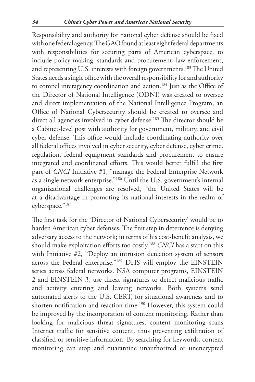Responsibility and authority for national cyber defense should be fixed with one federal agency. The GAO found at least eight federal departments with responsibilities for securing parts of American cyberspace, to include policy-making, standards and procurement, law enforcement, and representing U.S. interests with foreign governments.<sup>183</sup> The United States needs a single office with the overall responsibility for and authority to compel interagency coordination and action.184 Just as the Office of the Director of National Intelligence (ODNI) was created to oversee and direct implementation of the National Intelligence Program, an Office of National Cybersecurity should be created to oversee and direct all agencies involved in cyber defense.<sup>185</sup> The director should be a Cabinet-level post with authority for government, military, and civil cyber defense. This office would include coordinating authority over all federal offices involved in cyber security, cyber defense, cyber crime, regulation, federal equipment standards and procurement to ensure integrated and coordinated efforts. This would better fulfill the first part of *CNCI* Initiative #1, "manage the Federal Enterprise Network as a single network enterprise."186 Until the U.S. government's internal organizational challenges are resolved, "the United States will be at a disadvantage in promoting its national interests in the realm of cyberspace."187

The first task for the 'Director of National Cybersecurity' would be to harden American cyber defenses. The first step in deterrence is denying adversary access to the network; in terms of his cost-benefit analysis, we should make exploitation efforts too costly.188 *CNCI* has a start on this with Initiative #2, "Deploy an intrusion detection system of sensors across the Federal enterprise."189 DHS will employ the EINSTEIN series across federal networks. NSA computer programs, EINSTEIN 2 and EINSTEIN 3, use threat signatures to detect malicious traffic and activity entering and leaving networks. Both systems send automated alerts to the U.S. CERT, for situational awareness and to shorten notification and reaction time.<sup>190</sup> However, this system could be improved by the incorporation of content monitoring. Rather than looking for malicious threat signatures, content monitoring scans Internet traffic for sensitive content, thus preventing exfiltration of classified or sensitive information. By searching for keywords, content monitoring can stop and quarantine unauthorized or unencrypted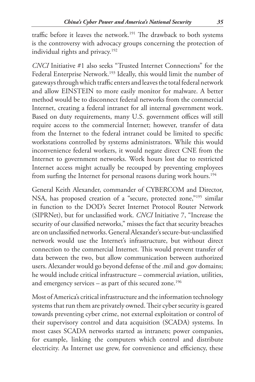traffic before it leaves the network.<sup>191</sup> The drawback to both systems is the controversy with advocacy groups concerning the protection of individual rights and privacy.<sup>192</sup>

*CNCI* Initiative #1 also seeks "Trusted Internet Connections" for the Federal Enterprise Network.<sup>193</sup> Ideally, this would limit the number of gateways through which traffic enters and leaves the total federal network and allow EINSTEIN to more easily monitor for malware. A better method would be to disconnect federal networks from the commercial Internet, creating a federal intranet for all internal government work. Based on duty requirements, many U.S. government offices will still require access to the commercial Internet; however, transfer of data from the Internet to the federal intranet could be limited to specific workstations controlled by systems administrators. While this would inconvenience federal workers, it would negate direct CNE from the Internet to government networks. Work hours lost due to restricted Internet access might actually be recouped by preventing employees from surfing the Internet for personal reasons during work hours.<sup>194</sup>

General Keith Alexander, commander of CYBERCOM and Director, NSA, has proposed creation of a "secure, protected zone,"195 similar in function to the DOD's Secret Internet Protocol Router Network (SIPRNet), but for unclassified work. *CNCI* Initiative 7, "Increase the security of our classified networks," misses the fact that security breaches are on unclassified networks. General Alexander's secure-but-unclassified network would use the Internet's infrastructure, but without direct connection to the commercial Internet. This would prevent transfer of data between the two, but allow communication between authorized users. Alexander would go beyond defense of the .mil and .gov domains; he would include critical infrastructure – commercial aviation, utilities, and emergency services  $-$  as part of this secured zone.<sup>196</sup>

Most of America's critical infrastructure and the information technology systems that run them are privately owned. Their cyber security is geared towards preventing cyber crime, not external exploitation or control of their supervisory control and data acquisition (SCADA) systems. In most cases SCADA networks started as intranets; power companies, for example, linking the computers which control and distribute electricity. As Internet use grew, for convenience and efficiency, these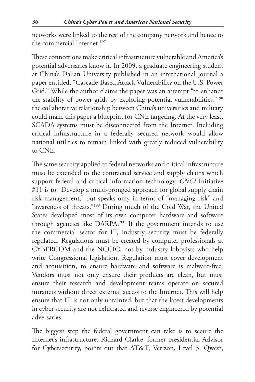networks were linked to the rest of the company network and hence to the commercial Internet.<sup>197</sup>

These connections make critical infrastructure vulnerable and America's potential adversaries know it. In 2009, a graduate engineering student at China's Dalian University published in an international journal a paper entitled, "Cascade-Based Attack Vulnerability on the U.S. Power Grid." While the author claims the paper was an attempt "to enhance the stability of power grids by exploring potential vulnerabilities,"198 the collaborative relationship between China's universities and military could make this paper a blueprint for CNE targeting. At the very least, SCADA systems must be disconnected from the Internet. Including critical infrastructure in a federally secured network would allow national utilities to remain linked with greatly reduced vulnerability to CNE.

The same security applied to federal networks and critical infrastructure must be extended to the contracted service and supply chains which support federal and critical information technology. *CNCI* Initiative #11 is to "Develop a multi-pronged approach for global supply chain risk management," but speaks only in terms of "managing risk" and "awareness of threats."199 During much of the Cold War, the United States developed most of its own computer hardware and software through agencies like DARPA.200 If the government intends to use the commercial sector for IT, industry security must be federally regulated. Regulations must be created by computer professionals at CYBERCOM and the NCCIC, not by industry lobbyists who help write Congressional legislation. Regulation must cover development and acquisition, to ensure hardware and software is malware-free. Vendors must not only ensure their products are clean, but must ensure their research and development teams operate on secured intranets without direct external access to the Internet. This will help ensure that IT is not only untainted, but that the latest developments in cyber security are not exfiltrated and reverse engineered by potential adversaries.

The biggest step the federal government can take is to secure the Internet's infrastructure. Richard Clarke, former presidential Advisor for Cybersecurity, points out that AT&T, Verizon, Level 3, Qwest,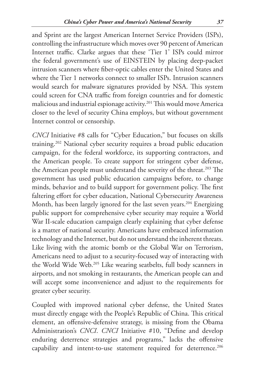and Sprint are the largest American Internet Service Providers (ISPs), controlling the infrastructure which moves over 90 percent of American Internet traffic. Clarke argues that these 'Tier 1' ISPs could mirror the federal government's use of EINSTEIN by placing deep-packet intrusion scanners where fiber-optic cables enter the United States and where the Tier 1 networks connect to smaller ISPs. Intrusion scanners would search for malware signatures provided by NSA. This system could screen for CNA traffic from foreign countries and for domestic malicious and industrial espionage activity.<sup>201</sup> This would move America closer to the level of security China employs, but without government Internet control or censorship.

*CNCI* Initiative #8 calls for "Cyber Education," but focuses on skills training.202 National cyber security requires a broad public education campaign, for the federal workforce, its supporting contractors, and the American people. To create support for stringent cyber defense, the American people must understand the severity of the threat.<sup>203</sup> The government has used public education campaigns before, to change minds, behavior and to build support for government policy. The first faltering effort for cyber education, National Cybersecurity Awareness Month, has been largely ignored for the last seven years.<sup>204</sup> Energizing public support for comprehensive cyber security may require a World War II-scale education campaign clearly explaining that cyber defense is a matter of national security. Americans have embraced information technology and the Internet, but do not understand the inherent threats. Like living with the atomic bomb or the Global War on Terrorism, Americans need to adjust to a security-focused way of interacting with the World Wide Web.<sup>205</sup> Like wearing seatbelts, full body scanners in airports, and not smoking in restaurants, the American people can and will accept some inconvenience and adjust to the requirements for greater cyber security.

Coupled with improved national cyber defense, the United States must directly engage with the People's Republic of China. This critical element, an offensive-defensive strategy, is missing from the Obama Administration's *CNCI*. *CNCI* Initiative #10, "Define and develop enduring deterrence strategies and programs," lacks the offensive capability and intent-to-use statement required for deterrence.<sup>206</sup>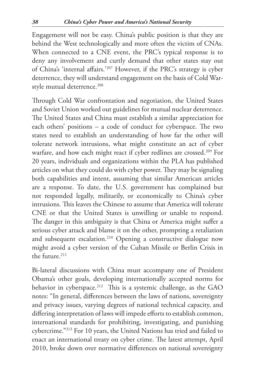Engagement will not be easy. China's public position is that they are behind the West technologically and more often the victim of CNAs. When connected to a CNE event, the PRC's typical response is to deny any involvement and curtly demand that other states stay out of China's 'internal affairs.'207 However, if the PRC's strategy is cyber deterrence, they will understand engagement on the basis of Cold Warstyle mutual deterrence.<sup>208</sup>

Through Cold War confrontation and negotiation, the United States and Soviet Union worked out guidelines for mutual nuclear deterrence. The United States and China must establish a similar appreciation for each others' positions – a code of conduct for cyberspace. The two states need to establish an understanding of how far the other will tolerate network intrusions, what might constitute an act of cyber warfare, and how each might react if cyber redlines are crossed.<sup>209</sup> For 20 years, individuals and organizations within the PLA has published articles on what they could do with cyber power. They may be signaling both capabilities and intent, assuming that similar American articles are a response. To date, the U.S. government has complained but not responded legally, militarily, or economically to China's cyber intrusions. This leaves the Chinese to assume that America will tolerate CNE or that the United States is unwilling or unable to respond. The danger in this ambiguity is that China or America might suffer a serious cyber attack and blame it on the other, prompting a retaliation and subsequent escalation.<sup>210</sup> Opening a constructive dialogue now might avoid a cyber version of the Cuban Missile or Berlin Crisis in the future.211

Bi-lateral discussions with China must accompany one of President Obama's other goals, developing internationally accepted norms for behavior in cyberspace.<sup>212</sup> This is a systemic challenge, as the GAO notes: "In general, differences between the laws of nations, sovereignty and privacy issues, varying degrees of national technical capacity, and differing interpretation of laws will impede efforts to establish common, international standards for prohibiting, investigating, and punishing cybercrime."213 For 10 years, the United Nations has tried and failed to enact an international treaty on cyber crime. The latest attempt, April 2010, broke down over normative differences on national sovereignty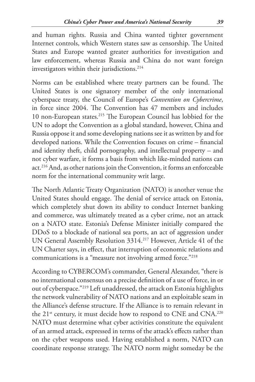and human rights. Russia and China wanted tighter government Internet controls, which Western states saw as censorship. The United States and Europe wanted greater authorities for investigation and law enforcement, whereas Russia and China do not want foreign investigators within their jurisdictions.<sup>214</sup>

Norms can be established where treaty partners can be found. The United States is one signatory member of the only international cyberspace treaty, the Council of Europe's *Convention on Cybercrime*, in force since 2004. The Convention has 47 members and includes 10 non-European states.<sup>215</sup> The European Council has lobbied for the UN to adopt the Convention as a global standard, however, China and Russia oppose it and some developing nations see it as written by and for developed nations. While the Convention focuses on crime – financial and identity theft, child pornography, and intellectual property – and not cyber warfare, it forms a basis from which like-minded nations can act.216 And, as other nations join the Convention, it forms an enforceable norm for the international community writ large.

The North Atlantic Treaty Organization (NATO) is another venue the United States should engage. The denial of service attack on Estonia, which completely shut down its ability to conduct Internet banking and commerce, was ultimately treated as a cyber crime, not an attack on a NATO state. Estonia's Defense Minister initially compared the DDoS to a blockade of national sea ports, an act of aggression under UN General Assembly Resolution 3314.217 However, Article 41 of the UN Charter says, in effect, that interruption of economic relations and communications is a "measure not involving armed force."218

According to CYBERCOM's commander, General Alexander, "there is no international consensus on a precise definition of a use of force, in or out of cyberspace."219 Left unaddressed, the attack on Estonia highlights the network vulnerability of NATO nations and an exploitable seam in the Alliance's defense structure. If the Alliance is to remain relevant in the 21<sup>st</sup> century, it must decide how to respond to CNE and CNA.<sup>220</sup> NATO must determine what cyber activities constitute the equivalent of an armed attack, expressed in terms of the attack's effects rather than on the cyber weapons used. Having established a norm, NATO can coordinate response strategy. The NATO norm might someday be the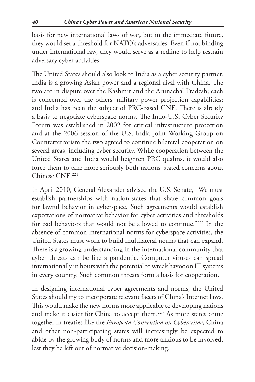basis for new international laws of war, but in the immediate future, they would set a threshold for NATO's adversaries. Even if not binding under international law, they would serve as a redline to help restrain adversary cyber activities.

The United States should also look to India as a cyber security partner. India is a growing Asian power and a regional rival with China. The two are in dispute over the Kashmir and the Arunachal Pradesh; each is concerned over the others' military power projection capabilities; and India has been the subject of PRC-based CNE. There is already a basis to negotiate cyberspace norms. The Indo-U.S. Cyber Security Forum was established in 2002 for critical infrastructure protection and at the 2006 session of the U.S.-India Joint Working Group on Counterterrorism the two agreed to continue bilateral cooperation on several areas, including cyber security. While cooperation between the United States and India would heighten PRC qualms, it would also force them to take more seriously both nations' stated concerns about Chinese CNE.221

In April 2010, General Alexander advised the U.S. Senate, "We must establish partnerships with nation-states that share common goals for lawful behavior in cyberspace. Such agreements would establish expectations of normative behavior for cyber activities and thresholds for bad behaviors that would not be allowed to continue."<sup>222</sup> In the absence of common international norms for cyberspace activities, the United States must work to build multilateral norms that can expand. There is a growing understanding in the international community that cyber threats can be like a pandemic. Computer viruses can spread internationally in hours with the potential to wreck havoc on IT systems in every country. Such common threats form a basis for cooperation.

In designing international cyber agreements and norms, the United States should try to incorporate relevant facets of China's Internet laws. This would make the new norms more applicable to developing nations and make it easier for China to accept them.<sup>223</sup> As more states come together in treaties like the *European Convention on Cybercrime*, China and other non-participating states will increasingly be expected to abide by the growing body of norms and more anxious to be involved, lest they be left out of normative decision-making.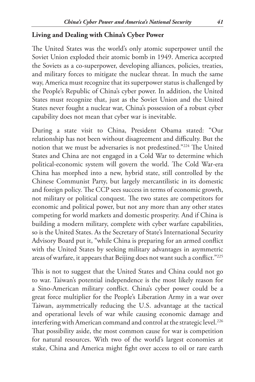## **Living and Dealing with China's Cyber Power**

The United States was the world's only atomic superpower until the Soviet Union exploded their atomic bomb in 1949. America accepted the Soviets as a co-superpower, developing alliances, policies, treaties, and military forces to mitigate the nuclear threat. In much the same way, America must recognize that its superpower status is challenged by the People's Republic of China's cyber power. In addition, the United States must recognize that, just as the Soviet Union and the United States never fought a nuclear war, China's possession of a robust cyber capability does not mean that cyber war is inevitable.

During a state visit to China, President Obama stated: "Our relationship has not been without disagreement and difficulty. But the notion that we must be adversaries is not predestined."224 The United States and China are not engaged in a Cold War to determine which political-economic system will govern the world. The Cold War-era China has morphed into a new, hybrid state, still controlled by the Chinese Communist Party, but largely mercantilistic in its domestic and foreign policy. The CCP sees success in terms of economic growth, not military or political conquest. The two states are competitors for economic and political power, but not any more than any other states competing for world markets and domestic prosperity. And if China is building a modern military, complete with cyber warfare capabilities, so is the United States. As the Secretary of State's International Security Advisory Board put it, "while China is preparing for an armed conflict with the United States by seeking military advantages in asymmetric areas of warfare, it appears that Beijing does not want such a conflict."<sup>225</sup>

This is not to suggest that the United States and China could not go to war. Taiwan's potential independence is the most likely reason for a Sino-American military conflict. China's cyber power could be a great force multiplier for the People's Liberation Army in a war over Taiwan, asymmetrically reducing the U.S. advantage at the tactical and operational levels of war while causing economic damage and interfering with American command and control at the strategic level.<sup>226</sup> That possibility aside, the most common cause for war is competition for natural resources. With two of the world's largest economies at stake, China and America might fight over access to oil or rare earth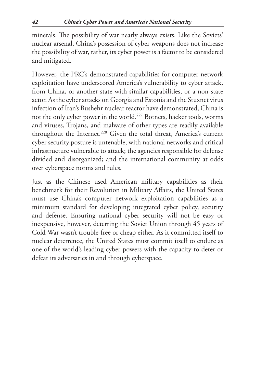minerals. The possibility of war nearly always exists. Like the Soviets' nuclear arsenal, China's possession of cyber weapons does not increase the possibility of war, rather, its cyber power is a factor to be considered and mitigated.

However, the PRC's demonstrated capabilities for computer network exploitation have underscored America's vulnerability to cyber attack, from China, or another state with similar capabilities, or a non-state actor. As the cyber attacks on Georgia and Estonia and the Stuxnet virus infection of Iran's Bushehr nuclear reactor have demonstrated, China is not the only cyber power in the world.227 Botnets, hacker tools, worms and viruses, Trojans, and malware of other types are readily available throughout the Internet.<sup>228</sup> Given the total threat, America's current cyber security posture is untenable, with national networks and critical infrastructure vulnerable to attack; the agencies responsible for defense divided and disorganized; and the international community at odds over cyberspace norms and rules.

Just as the Chinese used American military capabilities as their benchmark for their Revolution in Military Affairs, the United States must use China's computer network exploitation capabilities as a minimum standard for developing integrated cyber policy, security and defense. Ensuring national cyber security will not be easy or inexpensive, however, deterring the Soviet Union through 45 years of Cold War wasn't trouble-free or cheap either. As it committed itself to nuclear deterrence, the United States must commit itself to endure as one of the world's leading cyber powers with the capacity to deter or defeat its adversaries in and through cyberspace.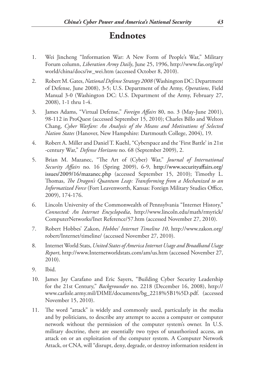## **Endnotes**

- 1. Wei Jincheng "Information War: A New Form of People's War," Military Forum column, *Liberation Army Daily*, June 25, 1996, http://www.fas.org/irp/ world/china/docs/iw\_wei.htm (accessed October 8, 2010).
- 2. Robert M. Gates, *National Defense Strategy 2008* (Washington DC: Department of Defense, June 2008), 3-5; U.S. Department of the Army, *Operations*, Field Manual 3-0 (Washington DC: U.S. Department of the Army, February 27, 2008), 1-1 thru 1-4.
- 3. James Adams, "Virtual Defense," *Foreign Affairs* 80, no. 3 (May-June 2001), 98-112 in ProQuest (accessed September 15, 2010); Charles Billo and Welton Chang, *Cyber Warfare: An Analysis of the Means and Motivations of Selected Nation States* (Hanover, New Hampshire: Dartmouth College, 2004), 19.
- 4. Robert A. Miller and Daniel T. Kuehl, "Cyberspace and the 'First Battle' in 21st -century War," *Defense Horizons* no. 68 (September 2009), 2.
- 5. Brian M. Mazanec, "The Art of (Cyber) War," *Journal of International Security Affairs* no. 16 (Spring 2009), 6-9, [http://www.securityaffairs.org/](http://www.securityaffairs.org/issues/2009/16/mazanec.php) [issues/2009/16/mazanec.php](http://www.securityaffairs.org/issues/2009/16/mazanec.php) (accessed September 15, 2010); Timothy L. Thomas, *The Dragon's Quantum Leap: Transforming from a Mechanized to an Informatized Force* (Fort Leavenworth, Kansas: Foreign Military Studies Office, 2009), 174-176.
- 6. Lincoln University of the Commonwealth of Pennsylvania "Internet History," *Connected: An Internet Encyclopedia*, http://www.lincoln.edu/math/rmyrick/ ComputerNetworks/Inet Reference/57.htm (accessed November 27, 2010).
- 7. Robert Hobbes' Zakon, *Hobbes' Internet Timeline 10*, http://www.zakon.org/ robert/Internet/timeline/ (accessed November 27, 2010).
- 8. Internet World Stats, *United States of America Internet Usage and Broadband Usage Report*, http://www.Internetworldstats.com/am/us.htm (accessed November 27, 2010).
- 9. Ibid.
- 10. James Jay Carafano and Eric Sayers, "Building Cyber Security Leadership for the 21st Century," *Backgrounder* no. 2218 (December 16, 2008), http:// www.carlisle.army.mil/DIME/documents/bg\_2218%5B1%5D.pdf. (accessed November 15, 2010).
- 11. The word "attack" is widely and commonly used, particularly in the media and by politicians, to describe any attempt to access a computer or computer network without the permission of the computer system's owner. In U.S. military doctrine, there are essentially two types of unauthorized access, an attack on or an exploitation of the computer system. A Computer Network Attack, or CNA, will "disrupt, deny, degrade, or destroy information resident in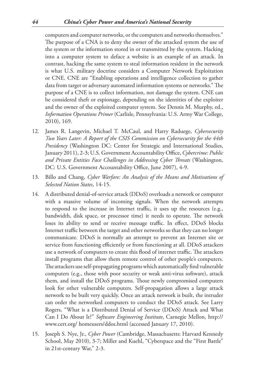computers and computer networks, or the computers and networks themselves." The purpose of a CNA is to deny the owner of the attacked system the use of the system or the information stored in or transmitted by the system. Hacking into a computer system to deface a website is an example of an attack. In contrast, hacking the same system to steal information resident in the network is what U.S. military doctrine considers a Computer Network Exploitation or CNE. CNE are "Enabling operations and intelligence collection to gather data from target or adversary automated information systems or networks." The purpose of a CNE is to collect information, not damage the system. CNE can be considered theft or espionage, depending on the identities of the exploiter and the owner of the exploited computer system. See Dennis M. Murphy, ed., *Information Operations Primer* (Carlisle, Pennsylvania: U.S. Army War College, 2010), 169.

- 12. James R. Langevin, Michael T. McCaul, and Harry Raduege, *Cybersecurity Two Years Later: A Report of the CSIS Commission on Cybersecurity for the 44th Presidency* (Washington DC: Center for Strategic and International Studies, January 2011), 2-3; U.S. Government Accountability Office, *Cybercrime: Public and Private Entities Face Challenges in Addressing Cyber Threats* (Washington, DC: U.S. Government Accountability Office, June 2007), 4-9.
- 13. Billo and Chang, *Cyber Warfare: An Analysis of the Means and Motivations of Selected Nation States*, 14-15.
- 14. A distributed denial-of-service attack (DDoS) overloads a network or computer with a massive volume of incoming signals. When the network attempts to respond to the increase in Internet traffic, it uses up the resources (e.g., bandwidth, disk space, or processor time) it needs to operate. The network loses its ability to send or receive message traffic. In effect, DDoS blocks Internet traffic between the target and other networks so that they can no longer communicate. DDoS is normally an attempt to prevent an Internet site or service from functioning efficiently or from functioning at all. DDoS attackers use a network of computers to create this flood of internet traffic. The attackers install programs that allow them remote control of other people's computers. The attackers use self-propagating programs which automatically find vulnerable computers (e.g., those with poor security or weak anti-virus software), attack them, and install the DDoS programs. Those newly compromised computers look for other vulnerable computers. Self-propagation allows a large attack network to be built very quickly. Once an attack network is built, the intruder can order the networked computers to conduct the DDoS attack. See Larry Rogers, "What is a Distributed Denial of Service (DDoS) Attack and What Can I Do About It?" *Software Engineering Institute*, Carnegie Mellon, http:// www.cert.org/ homeusers/ddos.html (accessed January 17, 2010).
- 15. Joseph S. Nye, Jr., *Cyber Power* (Cambridge, Massachusetts: Harvard Kennedy School, May 2010), 3-7; Miller and Kuehl, "Cyberspace and the "First Battle" in 21st-century War," 2-3.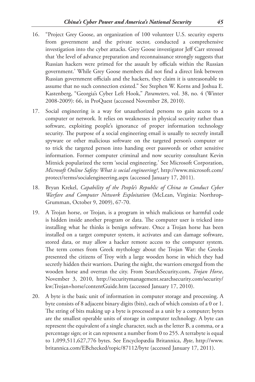- 16. "Project Grey Goose, an organization of 100 volunteer U.S. security experts from government and the private sector, conducted a comprehensive investigation into the cyber attacks. Grey Goose investigator Jeff Carr stressed that 'the level of advance preparation and reconnaissance strongly suggests that Russian hackers were primed for the assault by officials within the Russian government.' While Grey Goose members did not find a direct link between Russian government officials and the hackers, they claim it is unreasonable to assume that no such connection existed." See Stephen W. Korns and Joshua E. Kastenberg, "Georgia's Cyber Left Hook," *Parameters*, vol. 38, no. 4 (Winter 2008-2009): 66, in ProQuest (accessed November 28, 2010).
- 17. Social engineering is a way for unauthorized persons to gain access to a computer or network. It relies on weaknesses in physical security rather than software, exploiting people's ignorance of proper information technology security. The purpose of a social engineering email is usually to secretly install spyware or other malicious software on the targeted person's computer or to trick the targeted person into handing over passwords or other sensitive information. Former computer criminal and now security consultant Kevin Mitnick popularized the term 'social engineering.' See Microsoft Corporation, *Microsoft Online Safety: What is social engineering?*, http://www.microsoft.com/ protect/terms/socialengineering.aspx (accessed January 17, 2011).
- 18. Bryan Krekel, *Capability of the People's Republic of China to Conduct Cyber Warfare and Computer Network Exploitation* (McLean, Virginia: Northrop-Grumman, October 9, 2009), 67-70.
- 19. A Trojan horse, or Trojan, is a program in which malicious or harmful code is hidden inside another program or data. The computer user is tricked into installing what he thinks is benign software. Once a Trojan horse has been installed on a target computer system, it activates and can damage software, stored data, or may allow a hacker remote access to the computer system. The term comes from Greek mythology about the Trojan War: the Greeks presented the citizens of Troy with a large wooden horse in which they had secretly hidden their warriors. During the night, the warriors emerged from the wooden horse and overran the city. From SearchSecurity.com, *Trojan Horse*, November 3, 2010, http://securitymanagement.searchsecurity.com/security/ kw;Trojan+horse/contentGuide.htm (accessed January 17, 2010).
- 20. A byte is the basic unit of information in computer storage and processing. A byte consists of 8 adjacent binary digits (bits), each of which consists of a 0 or 1. The string of bits making up a byte is processed as a unit by a computer; bytes are the smallest operable units of storage in computer technology. A byte can represent the equivalent of a single character, such as the letter B, a comma, or a percentage sign; or it can represent a number from 0 to 255. A terrabyte is equal to 1,099,511,627,776 bytes. See Encyclopædia Britannica, *Byte*, http://www. britannica.com/EBchecked/topic/87112/byte (accessed January 17, 2011).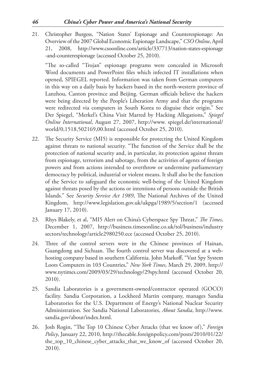21. Christopher Burgess, "Nation States' Espionage and Counterespionage: An Overview of the 2007 Global Economic Espionage Landscape," *CSO Online*, April 21, 2008, http://www.csoonline.com/article/337713/nation-states-espionage -and-counterespionage (accessed October 25, 2010).

"The so-called "Trojan" espionage programs were concealed in Microsoft Word documents and PowerPoint files which infected IT installations when opened, SPIEGEL reported. Information was taken from German computers in this way on a daily basis by hackers based in the north-western province of Lanzhou, Canton province and Beijing. German officials believe the hackers were being directed by the People's Liberation Army and that the programs were redirected via computers in South Korea to disguise their origin." See Der Spiegel, "Merkel's China Visit Marred by Hacking Allegations," *Spiegel Online International*, August 27, 2007, http://www. spiegel.de/international/ world/0,1518,502169,00.html (accessed October 25, 2010).

- 22. The Security Service (MI5) is responsible for protecting the United Kingdom against threats to national security. "The function of the Service shall be the protection of national security and, in particular, its protection against threats from espionage, terrorism and sabotage, from the activities of agents of foreign powers and from actions intended to overthrow or undermine parliamentary democracy by political, industrial or violent means. It shall also be the function of the Service to safeguard the economic well-being of the United Kingdom against threats posed by the actions or intentions of persons outside the British Islands." See *Security Service Act 1989*, The National Archives of the United Kingdom, http://www.legislation.gov.uk/ukpga/1989/5/section/1 (accessed January 17, 2010).
- 23. Rhys Blakely, et al, "MI5 Alert on China's Cyberspace Spy Threat," *The Times*, December 1, 2007, http://business.timesonline.co.uk/tol/business/industry sectors/technology/article2980250.ece (accessed October 25, 2010).
- 24. Three of the control servers were in the Chinese provinces of Hainan, Guangdong and Sichuan. The fourth control server was discovered at a webhosting company based in southern California. John Markoff, "Vast Spy System Loots Computers in 103 Countries," *New York Times*, March 29, 2009, http:// www.nytimes.com/2009/03/29/technology/29spy.html (accessed October 20, 2010).
- 25. Sandia Laboratories is a government-owned/contractor operated (GOCO) facility. Sandia Corporation, a Lockheed Martin company, manages Sandia Laboratories for the U.S. Department of Energy's National Nuclear Security Administration. See Sandia National Laboratories, *About Sandia*, http://www. sandia.gov/about/index.html.
- 26. Josh Rogin, "The Top 10 Chinese Cyber Attacks (that we know of)," *Foreign Policy*, January 22, 2010, http://thecable.foreignpolicy.com/posts/2010/01/22/ the\_top\_10\_chinese\_cyber\_attacks\_that\_we\_know\_of (accessed October 20, 2010).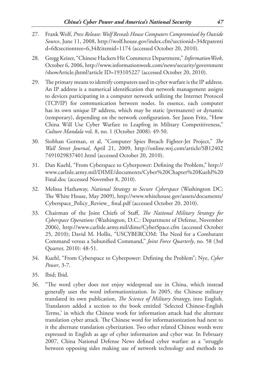- 27. Frank Wolf, *Press Release: Wolf Reveals House Computers Compromised by Outside Source*, June 11, 2008, http://wolf.house.gov/index.cfm?sectionid=34&parenti d=6&sectiontree=6,34&itemid=1174 (accessed October 20, 2010).
- 28. Gregg Keizer, "Chinese Hackers Hit Commerce Department," *InformationWeek*, October 6, 2006, http://www.informationweek.com/news/security/government /showArticle.jhtml?article ID=193105227 (accessed October 20, 2010).
- 29. The primary means to identify computers used in cyber warfare is the IP address. An IP address is a numerical identification that network management assigns to devices participating in a computer network utilizing the Internet Protocol (TCP/IP) for communication between nodes. In essence, each computer has its own unique IP address, which may be static (permanent) or dynamic (temporary), depending on the network configuration. See Jason Fritz, "How China Will Use Cyber Warfare to Leapfrog in Military Competitiveness," *Culture Mandala* vol. 8, no. 1 (October 2008): 49-50.
- 30. Siobhan Gorman, et al, "Computer Spies Breach Fighter-Jet Project," *The Wall Street Journal*, April 21, 2009, http://online.wsj.com/article/SB12402 7491029837401.html (accessed October 20, 2010).
- 31. Dan Kuehl, "From Cyberspace to Cyberpower: Defining the Problem," http:// www.carlisle.army.mil/DIME/documents/Cyber%20Chapter%20Kuehl%20 Final.doc (accessed November 8, 2010).
- 32. Melissa Hathaway, *National Strategy to Secure Cyberspace* (Washington DC: The White House, May 2009), http://www.whitehouse.gov/assets/documents/ Cyberspace\_Policy\_Review\_ final.pdf (accessed October 20, 2010).
- 33. Chairman of the Joint Chiefs of Staff, *The National Military Strategy for Cyberspace Operations* (Washington, D.C.: Department of Defense, November 2006), http://www.carlisle.army.mil/dime/CyberSpace.cfm (accessed October 25, 2010); David M. Hollis, "USCYBERCOM: The Need for a Combatant Command versus a Subunified Command," *Joint Force Quarterly*, no. 58 (3rd Quarter, 2010): 48-51.
- 34. Kuehl, "From Cyberspace to Cyberpower: Defining the Problem"; Nye, *Cyber Power*, 3-7.
- 35. Ibid; Ibid.
- 36. "The word cyber does not enjoy widespread use in China, which instead generally uses the word informationization. In 2005, the Chinese military translated its own publication, *The Science of Military Strategy*, into English. Translators added a section to the book entitled 'Selected Chinese-English Terms,' in which the Chinese work for information attack had the alternate translation cyber attack. The Chinese word for informationization had next to it the alternate translation cyberization. Two other related Chinese words were expressed in English as age of cyber information and cyber war. In February 2007, China National Defense News defined cyber warfare as a "struggle between opposing sides making use of network technology and methods to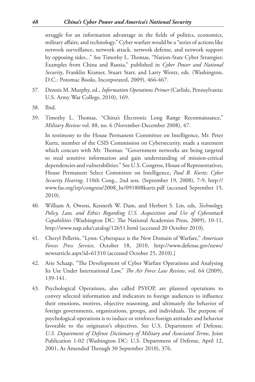struggle for an information advantage in the fields of politics, economics, military affairs, and technology." Cyber warfare would be a "series of actions like network surveillance, network attack, network defense, and network support by opposing sides..." See Timothy L. Thomas, "Nation-State Cyber Strategies: Examples from China and Russia," published in *Cyber Power and National Security*, Franklin Kramer, Stuart Starr, and Larry Wentz, eds. (Washington, D.C.: Potomac Books, Incorporated, 2009), 466-467.

- 37. Dennis M. Murphy, ed., *Information Operations Primer* (Carlisle, Pennsylvania: U.S. Army War College, 2010), 169.
- 38. Ibid.
- 39. Timothy L. Thomas, "China's Electronic Long Range Reconnaissance," *Military Review* vol. 88, no. 6 (November-December 2008), 47.

In testimony to the House Permanent Committee on Intelligence, Mr. Peter Kurtz, member of the CSIS Commission on Cybersecurity, made a statement which concurs with Mr. Thomas: "Government networks are being targeted to steal sensitive information and gain understanding of mission-critical dependencies and vulnerabilities." See U.S. Congress, House of Representatives, House Permanent Select Committee on Intelligence, *Paul B. Kurtz: Cyber Security Hearing*, 110th Cong., 2nd sess. (September 19, 2008), 7-9, http:// www.fas.org/irp/congress/2008\_hr/091808kurtz.pdf (accessed September 15, 2010).

- 40. William A. Owens, Kenneth W. Dam, and Herbert S. Lin, eds, *Technology, Policy, Law, and Ethics Regarding U.S. Acquisition and Use of Cyberattack Capabilities* (Washington DC: The National Academies Press, 2009), 10-11, http://www.nap.edu/catalog/12651.html (accessed 20 October 2010).
- 41. Cheryl Pellerin, "Lynn: Cyberspace is the New Domain of Warfare," *American Forces Press Service*, October 18, 2010, http://www.defense.gov/news/ newsarticle.aspx?id=61310 (accessed October 25, 2010).]
- 42. Arie Schaap, "The Development of Cyber Warfare Operations and Analysing Its Use Under International Law," *The Air Force Law Review*, vol. 64 (2009), 139-141.
- 43. Psychological Operations, also called PSYOP, are planned operations to convey selected information and indicators to foreign audiences to influence their emotions, motives, objective reasoning, and ultimately the behavior of foreign governments, organizations, groups, and individuals. The purpose of psychological operations is to induce or reinforce foreign attitudes and behavior favorable to the originator's objectives. See U.S. Department of Defense, *U.S. Department of Defense Dictionary of Military and Associated Terms*, Joint Publication 1-02 (Washington DC: U.S. Department of Defense, April 12, 2001, As Amended Through 30 September 2010), 376.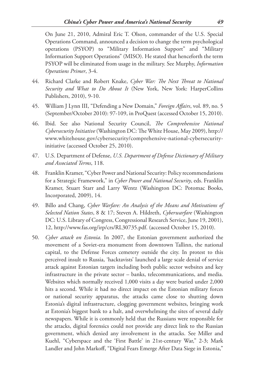On June 21, 2010, Admiral Eric T. Olson, commander of the U.S. Special Operations Command, announced a decision to change the term psychological operations (PSYOP) to "Military Information Support" and "Military Information Support Operations" (MISO). He stated that henceforth the term PSYOP will be eliminated from usage in the military. See Murphy, *Information Operations Primer*, 3-4.

- 44. Richard Clarke and Robert Knake, *Cyber War: The Next Threat to National Security and What to Do About It* (New York, New York: HarperCollins Publishers, 2010), 9-10.
- 45. William J Lynn III, "Defending a New Domain," *Foreign Affairs*, vol. 89, no. 5 (September/October 2010): 97-109, in ProQuest (accessed October 15, 2010).
- 46. Ibid. See also National Security Council, *The Comprehensive National Cybersecurity Initiative* (Washington DC: The White House, May 2009), http:// www.whitehouse.gov/cybersecurity/comprehensive-national-cybersecurityinitiative (accessed October 25, 2010).
- 47. U.S. Department of Defense, *U.S. Department of Defense Dictionary of Military and Associated Terms*, 118.
- 48. Franklin Kramer, "Cyber Power and National Security: Policy recommendations for a Strategic Framework," in *Cyber Power and National Security*, eds. Franklin Kramer, Stuart Starr and Larry Wentz (Washington DC: Potomac Books, Incorporated, 2009), 14.
- 49. Billo and Chang, *Cyber Warfare: An Analysis of the Means and Motivations of Selected Nation States*, 8 & 17; Steven A. Hildreth, *Cyberwarfare* (Washington DC: U.S. Library of Congress, Congressional Research Service, June 19, 2001), 12, http://www.fas.org/irp/crs/RL30735.pdf. (accessed October 15, 2010).
- 50. *Cyber attack on Estonia*. In 2007, the Estonian government authorized the movement of a Soviet-era monument from downtown Tallinn, the national capital, to the Defense Forces cemetery outside the city. In protest to this perceived insult to Russia, 'hacktavists' launched a large scale denial of service attack against Estonian targets including both public sector websites and key infrastructure in the private sector – banks, telecommunications, and media. Websites which normally received 1,000 visits a day were buried under 2,000 hits a second. While it had no direct impact on the Estonian military forces or national security apparatus, the attacks came close to shutting down Estonia's digital infrastructure, clogging government websites, bringing work at Estonia's biggest bank to a halt, and overwhelming the sites of several daily newspapers. While it is commonly held that the Russians were responsible for the attacks, digital forensics could not provide any direct link to the Russian government, which denied any involvement in the attacks. See Miller and Kuehl, "Cyberspace and the 'First Battle' in 21st-century War," 2-3; Mark Landler and John Markoff, "Digital Fears Emerge After Data Siege in Estonia,"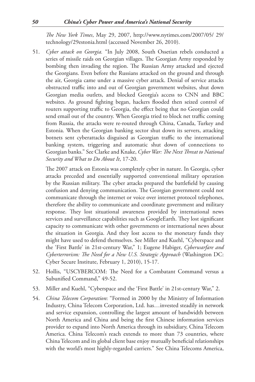*The New York Times*, May 29, 2007, http://www.nytimes.com/2007/05/ 29/ technology/29estonia.html (accessed November 26, 2010).

51. *Cyber attack on Georgia.* "In July 2008, South Ossetian rebels conducted a series of missile raids on Georgian villages. The Georgian Army responded by bombing then invading the region. The Russian Army attacked and ejected the Georgians. Even before the Russians attacked on the ground and through the air, Georgia came under a massive cyber attack. Denial of service attacks obstructed traffic into and out of Georgian government websites, shut down Georgian media outlets, and blocked Georgia's access to CNN and BBC websites. As ground fighting began, hackers flooded then seized control of routers supporting traffic to Georgia, the effect being that no Georgian could send email out of the country. When Georgia tried to block net traffic coming from Russia, the attacks were re-routed through China, Canada, Turkey and Estonia. When the Georgian banking sector shut down its servers, attacking botnets sent cyberattacks disguised as Georgian traffic to the international banking system, triggering and automatic shut down of connections to Georgian banks." See Clarke and Knake, *Cyber War: The Next Threat to National Security and What to Do About It*, 17-20.

The 2007 attack on Estonia was completely cyber in nature. In Georgia, cyber attacks preceded and essentially supported conventional military operation by the Russian military. The cyber attacks prepared the battlefield by causing confusion and denying communication. The Georgian government could not communicate through the internet or voice over internet protocol telephones, therefore the ability to communicate and coordinate government and military response. They lost situational awareness provided by international news services and surveillance capabilities such as GoogleEarth. They lost significant capacity to communicate with other governments or international news about the situation in Georgia. And they lost access to the monetary funds they might have used to defend themselves. See Miller and Kuehl, "Cyberspace and the 'First Battle' in 21st-century War," 1; Eugene Habiger, *Cyberwarfare and Cyberterrorism: The Need for a New U.S. Strategic Approach* (Washington DC: Cyber Secure Institute, February 1, 2010), 15-17.

- 52. Hollis, "USCYBERCOM: The Need for a Combatant Command versus a Subunified Command," 49-52.
- 53. Miller and Kuehl, "Cyberspace and the 'First Battle' in 21st-century War," 2.
- 54. *China Telecom Corporation*: "Formed in 2000 by the Ministry of Information Industry, China Telecom Corporation, Ltd. has…invested steadily in network and service expansion, controlling the largest amount of bandwidth between North America and China and being the first Chinese information services provider to expand into North America through its subsidiary, China Telecom America. China Telecom's reach extends to more than 73 countries, where China Telecom and its global client base enjoy mutually beneficial relationships with the world's most highly-regarded carriers." See China Telecoms America,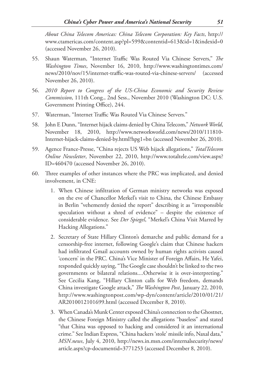*About China Telecom Americas: China Telecom Corporation: Key Facts*, http:// www.ctamericas.com/content.asp?pl=599&contentid=613&id=1&indexid=0 (accessed November 26, 2010).

- 55. Shaun Waterman, "Internet Traffic Was Routed Via Chinese Servers," *The Washington Times*, November 16, 2010, http://www.washingtontimes.com/ news/2010/nov/15/internet-traffic-was-routed-via-chinese-servers/ (accessed November 26, 2010).
- 56. *2010 Report to Congress of the US-China Economic and Security Review Commission*, 111th Cong., 2nd Sess., November 2010 (Washington DC: U.S. Government Printing Office), 244.
- 57. Waterman, "Internet Traffic Was Routed Via Chinese Servers."
- 58. John E Dunn, "Internet hijack claims denied by China Telecom," *Network World*, November 18, 2010, http://www.networkworld.com/news/2010/111810- Internet-hijack-claims-denied-by.html?hpg1=bn (accessed November 26, 2010).
- 59. Agence France-Presse, "China rejects US Web hijack allegations," *TotalTelecom Online Newsletter*, November 22, 2010, http://www.totaltele.com/view.aspx? ID=460470 (accessed November 26, 2010).
- 60. Three examples of other instances where the PRC was implicated, and denied involvement, in CNE:
	- 1. When Chinese infiltration of German ministry networks was exposed on the eve of Chancellor Merkel's visit to China, the Chinese Embassy in Berlin "vehemently denied the report" describing it as "irresponsible speculation without a shred of evidence" – despite the existence of considerable evidence. See *Der Spiegel*, "Merkel's China Visit Marred by Hacking Allegations."
	- 2. Secretary of State Hillary Clinton's demarche and public demand for a censorship-free internet, following Google's claim that Chinese hackers had infiltrated Gmail accounts owned by human rights activists caused 'concern' in the PRC. China's Vice Minister of Foreign Affairs, He Yafei, responded quickly saying, "The Google case shouldn't be linked to the two governments or bilateral relations....Otherwise it is over-interpreting." See Cecilia Kang, "Hillary Clinton calls for Web freedom, demands China investigate Google attack," *The Washington Post*, January 22, 2010, http://www.washingtonpost.com/wp-dyn/content/article/2010/01/21/ AR2010012101699.html (accessed December 8, 2010).
	- 3. When Canada's Munk Center exposed China's connection to the Ghostnet, the Chinese Foreign Ministry called the allegations "baseless" and stated "that China was opposed to hacking and considered it an international crime." See Indian Express, "China hackers 'stole' missile info, Naxal data," *MSN.news*, July 4, 2010, http://news.in.msn.com/internalsecurity/news/ article.aspx?cp-documentid=3771253 (accessed December 8, 2010).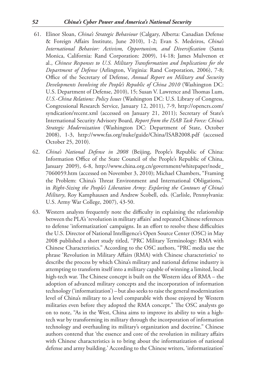- 61. Elinor Sloan, *China's Strategic Behaviour* (Calgary, Alberta: Canadian Defense & Foreign Affairs Institute, June 2010), 1-2; Evan S. Medeiros, *China's International Behavior: Activism, Opportunism, and Diversification* (Santa Monica, California: Rand Corporation: 2009), 14-18; James Mulvenon et al., *Chinese Responses to U.S. Military Transformation and Implications for the Department of Defense* (Arlington, Virginia: Rand Corporation, 2006), 7-8; Office of the Secretary of Defense, *Annual Report on Military and Security Developments Involving the People's Republic of China 2010* (Washington DC: U.S. Department of Defense, 2010), 15; Susan V. Lawrence and Thomas Lum, *U.S.-China Relations: Policy Issues* (Washington DC: U.S. Library of Congress, Congressional Research Service, January 12, 2011), 7-9, http://opencrs.com/ syndication/recent.xml (accessed on January 21, 2011); Secretary of State's International Security Advisory Board, *Report from the ISAB Task Force: China's Strategic Modernization* (Washington DC: Department of State, October 2008), 1-3, http://www.fas.org/nuke/guide/China/ISAB2008.pdf (accessed October 25, 2010).
- 62. *China's National Defense in 2008* (Beijing, People's Republic of China: Information Office of the State Council of the People's Republic of China, January 2009), 6-8, http://www.china.org.cn/government/whitepaper/node\_ 7060059.htm (accessed on November 3, 2010); Michael Chambers, "Framing the Problem: China's Threat Environment and International Obligations," in *Right-Sizing the People's Liberation Army: Exploring the Contours of China's Military*, Roy Kamphausen and Andrew Scobell, eds. (Carlisle, Pennsylvania: U.S. Army War College, 2007), 43-50.
- 63. Western analysts frequently note the difficulty in explaining the relationship between the PLA's 'revolution in military affairs' and repeated Chinese references to defense 'informatization' campaigns. In an effort to resolve these difficulties the U.S. Director of National Intelligence's Open Source Center (OSC) in May 2008 published a short study titled, "PRC Military Terminology: RMA with Chinese Characteristics." According to the OSC authors, "PRC media use the phrase 'Revolution in Military Affairs (RMA) with Chinese characteristics' to describe the process by which China's military and national defense industry is attempting to transform itself into a military capable of winning a limited, local high-tech war. The Chinese concept is built on the Western idea of RMA – the adoption of advanced military concepts and the incorporation of information technology ('informatization') – but also seeks to raise the general modernization level of China's military to a level comparable with those enjoyed by Western militaries even before they adopted the RMA concept." The OSC analysts go on to note, "As in the West, China aims to improve its ability to win a hightech war by transforming its military through the incorporation of information technology and overhauling its military's organization and doctrine." Chinese authors contend that 'the essence and core of the revolution in military affairs with Chinese characteristics is to bring about the informatization of national defense and army building.' According to the Chinese writers, 'informatization'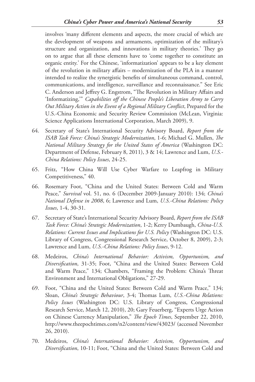involves 'many different elements and aspects, the more crucial of which are the development of weapons and armaments, optimization of the military's structure and organization, and innovations in military theories.' They go on to argue that all these elements have to 'come together to constitute an organic entity.' For the Chinese, 'informatization' appears to be a key element of the revolution in military affairs – modernization of the PLA in a manner intended to realize the synergistic benefits of simultaneous command, control, communications, and intelligence, surveillance and reconnaissance." See Eric C. Anderson and Jeffrey G. Engstrom, "The Revolution in Military Affairs and 'Informatizing,'" *Capabilities off the Chinese People's Liberation Army to Carry Out Military Action in the Event of a Regional Military Conflict*, Prepared for the U.S.-China Economic and Security Review Commission (McLean, Virginia: Science Applications International Corporation, March 2009), 9.

- 64. Secretary of State's International Security Advisory Board, *Report from the ISAB Task Force: China's Strategic Modernization*, 1-6; Michael G. Mullen, *The National Military Strategy for the United States of America* (Washington DC: Department of Defense, February 8, 2011), 3 & 14; Lawrence and Lum, *U.S.- China Relations: Policy Issues*, 24-25.
- 65. Fritz, "How China Will Use Cyber Warfare to Leapfrog in Military Competitiveness," 40.
- 66. Rosemary Foot, "China and the United States: Between Cold and Warm Peace," *Survival* vol. 51, no. 6 (December 2009-January 2010): 134; *China's National Defense in 2008*, 6; Lawrence and Lum, *U.S.-China Relations: Policy Issues*, 1-4, 30-31.
- 67. Secretary of State's International Security Advisory Board, *Report from the ISAB Task Force: China's Strategic Modernization*, 1-2; Kerry Dumbaugh, *China-U.S. Relations: Current Issues and Implications for U.S. Policy* (Washington DC: U.S. Library of Congress, Congressional Research Service, October 8, 2009), 2-3; Lawrence and Lum, *U.S.-China Relations: Policy Issues*, 9-12.
- 68. Medeiros, *China's International Behavior: Activism, Opportunism, and Diversification*, 31-35; Foot, "China and the United States: Between Cold and Warm Peace," 134; Chambers, "Framing the Problem: China's Threat Environment and International Obligations," 27-29.
- 69. Foot, "China and the United States: Between Cold and Warm Peace," 134; Sloan, *China's Strategic Behaviour*, 3-4; Thomas Lum, *U.S.-China Relations: Policy Issues* (Washington DC: U.S. Library of Congress, Congressional Research Service, March 12, 2010), 20; Gary Feuerberg, "Experts Urge Action on Chinese Currency Manipulation," *The Epoch Times*, September 22, 2010, http://www.theepochtimes.com/n2/content/view/43023/ (accessed November 26, 2010).
- 70. Medeiros, *China's International Behavior: Activism, Opportunism, and Diversification*, 10-11; Foot, "China and the United States: Between Cold and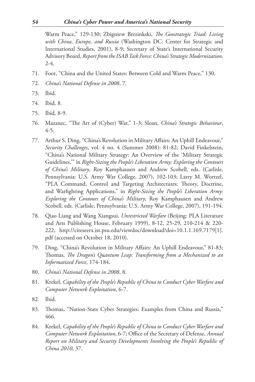Warm Peace," 129-130; Zbigniew Brezinkski, *The Geostrategic Triad: Living with China, Europe, and Russia* (Washington DC: Center for Strategic and International Studies, 2001), 8-9; Secretary of State's International Security Advisory Board, *Report from the ISAB Task Force: China's Strategic Modernization,*  2-4.

- 71. Foot, "China and the United States: Between Cold and Warm Peace," 130.
- 72. *China's National Defense in 2008*, 7.
- 73. Ibid.
- 74. Ibid*,* 8.
- 75. Ibid*,* 8-9.
- 76. Mazanec, "The Art of (Cyber) War," 1-3; Sloan, *China's Strategic Behaviour*, 4-5.
- 77. Arthur S. Ding, "China's Revolution in Military Affairs: An Uphill Endeavour," *Security Challenges*, vol. 4 no. 4 (Summer 2008): 81-82; David Finkelstein, "China's National Military Strategy: An Overview of the 'Military Strategic Guidelines,'" in *Right-Sizing the People's Liberation Army: Exploring the Contours of China's Military*, Roy Kamphausen and Andrew Scobell, eds. (Carlisle, Pennsylvania: U.S. Army War College, 2007), 102-103; Larry M. Wortzel, "PLA Command, Control and Targeting Architectures: Theory, Doctrine, and Warfighting Applications," in *Right-Sizing the People's Liberation Army: Exploring the Contours of China's Military*, Roy Kamphausen and Andrew Scobell, eds. (Carlisle, Pennsylvania: U.S. Army War College, 2007), 191-194.
- 78. Qiao Liang and Wang Xiangsui, *Unrestricted Warfare* (Beijing: PLA Literature and Arts Publishing House, February 1999), 8-12, 25-29, 210-214 & 220- 222, http://citeseerx.ist.psu.edu/viewdoc/download?doi=10.1.1.169.7179[1]. pdf (accessed on October 18, 2010).
- 79. Ding, "China's Revolution in Military Affairs: An Uphill Endeavour," 81-83; Thomas, *The Dragon's Quantum Leap: Transforming from a Mechanized to an Informatized Force*, 174-184.
- 80. *China's National Defense in 2008*, 8.
- 81. Krekel, *Capability of the People's Republic of China to Conduct Cyber Warfare and Computer Network Exploitation*, 6-7.
- 82. Ibid.
- 83. Thomas, "Nation-State Cyber Strategies: Examples from China and Russia," 466.
- 84. Krekel, *Capability of the People's Republic of China to Conduct Cyber Warfare and Computer Network Exploitation*, 6-7; Office of the Secretary of Defense, *Annual Report on Military and Security Developments Involving the People's Republic of China 2010*, 37.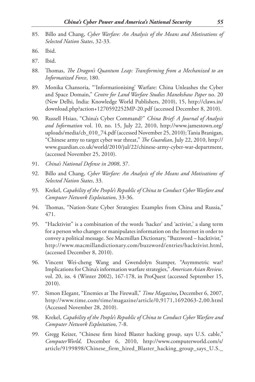- 85. Billo and Chang, *Cyber Warfare: An Analysis of the Means and Motivations of Selected Nation States*, 32-33.
- 86. Ibid.
- 87. Ibid.
- 88. Thomas, *The Dragon's Quantum Leap: Transforming from a Mechanized to an Informatized Force*, 180.
- 89. Monika Chansoria, "'Informationising' Warfare: China Unleashes the Cyber and Space Domain," *Centre for Land Warfare Studies Manekshaw Paper* no. 20 (New Delhi, India: Knowledge World Publishers, 2010), 15, http://claws.in/ download.php?action+1270592252MP-20.pdf (accessed December 8, 2010).
- 90. Russell Hsiao, "China's Cyber Command?" *China Brief: A Journal of Analysis and Information* vol. 10, no. 15, July 22, 2010, http://www.jamestown.org/ uploads/media/cb\_010\_74.pdf (accessed November 25, 2010); Tania Branigan, "Chinese army to target cyber war threat," *The Guardian*, July 22, 2010, http:// www.guardian.co.uk/world/2010/jul/22/chinese-army-cyber-war-department, (accessed November 25, 2010).
- 91. *China's National Defense in 2008*, 37.
- 92. Billo and Chang, *Cyber Warfare: An Analysis of the Means and Motivations of Selected Nation States*, 33.
- 93. Krekel, *Capability of the People's Republic of China to Conduct Cyber Warfare and Computer Network Exploitation*, 33-36.
- 94. Thomas, "Nation-State Cyber Strategies: Examples from China and Russia," 471.
- 95. "Hacktivist" is a combination of the words 'hacker' and 'activist,' a slang term for a person who changes or manipulates information on the Internet in order to convey a political message. See Macmillan Dictionary, "Buzzword – hacktivist," http://www.macmillandictionary.com/buzzword/entries/hacktivist.html, (accessed December 8, 2010).
- 96. Vincent Wei-cheng Wang and Gwendolyn Stamper, "Asymmetric war? Implications for China's information warfare strategies," *American Asian Review*. vol. 20, iss. 4 (Winter 2002), 167-178, in ProQuest (accessed September 15, 2010).
- 97. Simon Elegant, "Enemies at The Firewall," *Time Magazine***,** December 6, 2007, http://www.time.com/time/magazine/article/0,9171,1692063-2,00.html (Accessed November 28, 2010).
- 98. Krekel, *Capability of the People's Republic of China to Conduct Cyber Warfare and Computer Network Exploitation*, 7-8.
- 99. Gregg Keizer, "Chinese firm hired Blaster hacking group, says U.S. cable," *ComputerWorld*, December 6, 2010, http://www.computerworld.com/s/ article/9199898/Chinese\_firm\_hired\_Blaster\_hacking\_group\_says\_U.S.\_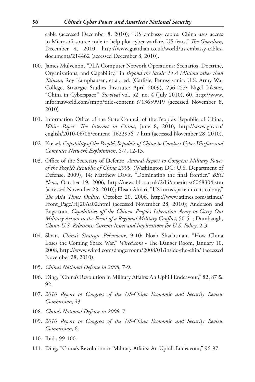cable (accessed December 8, 2010); "US embassy cables: China uses access to Microsoft source code to help plot cyber warfare, US fears," *The Guardian*, December 4, 2010, http://www.guardian.co.uk/world/us-embassy-cablesdocuments/214462 (accessed December 8, 2010).

- 100. James Mulvenon, "PLA Computer Network Operations: Scenarios, Doctrine, Organizations, and Capability," in *Beyond the Strait: PLA Missions other than Taiwan*, Roy Kamphausen, et al., ed. (Carlisle, Pennsylvania: U.S. Army War College, Strategic Studies Institute: April 2009), 256-257; Nigel Inkster, "China in Cyberspace," *Survival* vol. 52, no. 4 (July 2010), 60, http://www. informaworld.com/smpp/title~content=t713659919 (accessed November 8, 2010)
- 101. Information Office of the State Council of the People's Republic of China, *White Paper: The Internet in China*, June 8, 2010, http://www.gov.cn/ english/2010-06/08/content\_1622956\_7.htm (accessed November 28, 2010).
- 102. Krekel, *Capability of the People's Republic of China to Conduct Cyber Warfare and Computer Network Exploitation*, 6-7, 12-13.
- 103. Office of the Secretary of Defense, *Annual Report to Congress: Military Power of the People's Republic of China 2009,* (Washington DC: U.S. Department of Defense, 2009), 14; Matthew Davis, "Dominating the final frontier," *BBC News*, October 19, 2006, http://news.bbc.co.uk/2/hi/americas/6068304.stm (accessed November 28, 2010); Ehsan Ahrari, "US turns space into its colony," *The Asia Times Online*, October 20, 2006, http://www.atimes.com/atimes/ Front\_Page/HJ20Aa02.html (accessed November 28, 2010); Anderson and Engstrom, *Capabilities off the Chinese People's Liberation Army to Carry Out Military Action in the Event of a Regional Military Conflict*, 50-51; Dumbaugh, *China-U.S. Relations: Current Issues and Implications for U.S. Policy*, 2-3.
- 104. Sloan, *China's Strategic Behaviour*, 9-10; Noah Shachtman, "How China Loses the Coming Space War," *Wired.com* - The Danger Room, January 10, 2008, http://www.wired.com/dangerroom/2008/01/inside-the-chin/ (accessed November 28, 2010).
- 105. *China's National Defense in 2008*, 7-9.
- 106. Ding, "China's Revolution in Military Affairs: An Uphill Endeavour," 82, 87 & 92.
- 107. *2010 Report to Congress of the US-China Economic and Security Review Commission*, 43.
- 108. *China's National Defense in 2008*, 7.
- 109. *2010 Report to Congress of the US-China Economic and Security Review Commission*, 6.
- 110. Ibid., 99-100.
- 111. Ding, "China's Revolution in Military Affairs: An Uphill Endeavour," 96-97.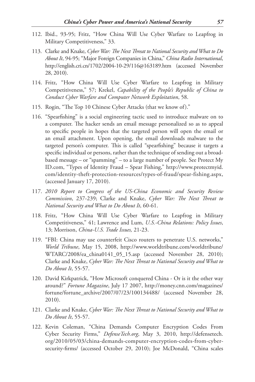- 112. Ibid., 93-95; Fritz, "How China Will Use Cyber Warfare to Leapfrog in Military Competitiveness," 33.
- 113. Clarke and Knake, *Cyber War: The Next Threat to National Security and What to Do About It*, 94-95; "Major Foreign Companies in China," *China Radio International*, http://english.cri.cn/1702/2004-10-29/116@163189.htm (accessed November 28, 2010).
- 114. Fritz, "How China Will Use Cyber Warfare to Leapfrog in Military Competitiveness," 57; Krekel, *Capability of the People's Republic of China to Conduct Cyber Warfare and Computer Network Exploitation*, 58.
- 115. Rogin, "The Top 10 Chinese Cyber Attacks (that we know of)."
- 116. "Spearfishing" is a social engineering tactic used to introduce malware on to a computer. The hacker sends an email message personalized so as to appeal to specific people in hopes that the targeted person will open the email or an email attachment. Upon opening, the email downloads malware to the targeted person's computer. This is called "spearfishing" because it targets a specific individual or persons, rather than the technique of sending out a broadbased message – or "spamming" – to a large number of people. See Protect My ID.com, "Types of Identity Fraud – Spear Fishing," http://www.protectmyid. com/identity-theft-protection-resources/types-of-fraud/spear-fishing.aspx, (accessed January 17, 2010).
- 117. *2010 Report to Congress of the US-China Economic and Security Review Commission*, 237-239; Clarke and Knake, *Cyber War: The Next Threat to National Security and What to Do About It*, 60-61.
- 118. Fritz, "How China Will Use Cyber Warfare to Leapfrog in Military Competitiveness," 41; Lawrence and Lum, *U.S.-China Relations: Policy Issues*, 13; Morrison, *China-U.S. Trade Issues,* 21-23.
- 119. "FBI: China may use counterfeit Cisco routers to penetrate U.S. networks," *World Tribune*, May 15, 2008, http://www.worldtribune.com/worldtribune/ WTARC/2008/ea\_china0141\_05\_15.asp (accessed November 28, 2010); Clarke and Knake, *Cyber War: The Next Threat to National Security and What to Do About It*, 55-57.
- 120. David Kirkpatrick, "How Microsoft conquered China Or is it the other way around?" *Fortune Magazine*, July 17 2007, http://money.cnn.com/magazines/ fortune/fortune\_archive/2007/07/23/100134488/ (accessed November 28, 2010).
- 121. Clarke and Knake, *Cyber War: The Next Threat to National Security and What to Do About It*, 55-57.
- 122. Kevin Coleman, "China Demands Computer Encryption Codes From Cyber Security Firms," *DefenseTech.org*, May 3, 2010, http://defensetech. org/2010/05/03/china-demands-computer-encryption-codes-from-cybersecurity-firms/ (accessed October 29, 2010); Joe McDonald, "China scales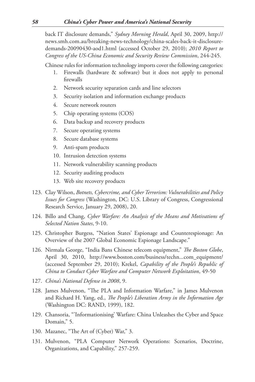back IT disclosure demands," *Sydney Morning Herald*, April 30, 2009, http:// news.smh.com.au/breaking-news-technology/china-scales-back-it-disclosuredemands-20090430-aod1.html (accessed October 29, 2010); *2010 Report to Congress of the US-China Economic and Security Review Commission*, 244-245.

Chinese rules for information technology imports cover the following categories:

- 1. Firewalls (hardware & software) but it does not apply to personal firewalls
- 2. Network security separation cards and line selectors
- 3. Security isolation and information exchange products
- 4. Secure network routers
- 5. Chip operating systems (COS)
- 6. Data backup and recovery products
- 7. Secure operating systems
- 8. Secure database systems
- 9. Anti-spam products
- 10. Intrusion detection systems
- 11. Network vulnerability scanning products
- 12. Security auditing products
- 13. Web site recovery products
- 123. Clay Wilson, *Botnets, Cybercrime, and Cyber Terrorism: Vulnerabilities and Policy Issues for Congress* (Washington, DC: U.S. Library of Congress, Congressional Research Service, January 29, 2008), 20.
- 124. Billo and Chang, *Cyber Warfare: An Analysis of the Means and Motivations of Selected Nation States*, 9-10.
- 125. Christopher Burgess, "Nation States' Espionage and Counterespionage: An Overview of the 2007 Global Economic Espionage Landscape."
- 126. Nirmala George, "India Bans Chinese telecom equipment," *The Boston Globe*, April 30, 2010, http://www.boston.com/business/techn...com\_equipment/ (accessed September 29, 2010); Krekel, *Capability of the People's Republic of China to Conduct Cyber Warfare and Computer Network Exploitation*, 49-50
- 127. *China's National Defense in 2008*, 9.
- 128. James Mulvenon, "The PLA and Information Warfare," in James Mulvenon and Richard H. Yang, ed., *The People's Liberation Army in the Information Age*  (Washington DC: RAND, 1999), 182.
- 129. Chansoria, "'Informationising' Warfare: China Unleashes the Cyber and Space Domain," 5.
- 130. Mazanec, "The Art of (Cyber) War," 3.
- 131. Mulvenon, "PLA Computer Network Operations: Scenarios, Doctrine, Organizations, and Capability," 257-259.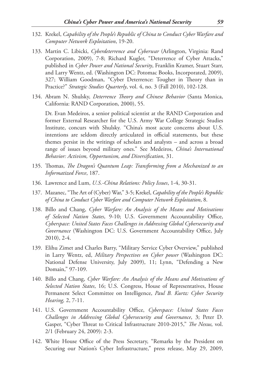- 132. Krekel, *Capability of the People's Republic of China to Conduct Cyber Warfare and Computer Network Exploitation*, 19-20.
- 133. Martin C. Libicki, *Cyberdeterrence and Cyberwar* (Arlington, Virginia: Rand Corporation, 2009), 7-8; Richard Kugler, "Deterrence of Cyber Attacks," published in *Cyber Power and National Security*, Franklin Kramer, Stuart Starr, and Larry Wentz, ed. (Washington DC: Potomac Books, Incorporated, 2009), 327; William Goodman, "Cyber Deterrence: Tougher in Theory than in Practice?" *Strategic Studies Quarterly*, vol. 4, no. 3 (Fall 2010), 102-128.
- 134. Abram N. Shulsky, *Deterrence Theory and Chinese Behavior* (Santa Monica, California: RAND Corporation, 2000), 55.

Dr. Evan Medeiros, a senior political scientist at the RAND Corporation and former External Researcher for the U.S. Army War College Strategic Studies Institute, concurs with Shulsky. "China's most acute concerns about U.S. intentions are seldom directly articulated in official statements, but these themes persist in the writings of scholars and analysts – and across a broad range of issues beyond military ones." See Medeiros, *China's International Behavior: Activism, Opportunism, and Diversification*, 31.

- 135. Thomas, *The Dragon's Quantum Leap: Transforming from a Mechanized to an Informatized Force*, 187.
- 136. Lawrence and Lum, *U.S.-China Relations: Policy Issues*, 1-4, 30-31.
- 137. Mazanec, "The Art of (Cyber) War," 3-5; Krekel, *Capability of the People's Republic of China to Conduct Cyber Warfare and Computer Network Exploitation*, 8.
- 138. Billo and Chang, *Cyber Warfare: An Analysis of the Means and Motivations of Selected Nation States*, 9-10; U.S. Government Accountability Office, *Cyberspace: United States Faces Challenges in Addressing Global Cybersecurity and Governance* (Washington DC: U.S. Government Accountability Office, July 2010), 2-4.
- 139. Elihu Zimet and Charles Barry, "Military Service Cyber Overview," published in Larry Wentz, ed, *Military Perspectives on Cyber power* (Washington DC: National Defense University, July 2009), 11; Lynn, "Defending a New Domain," 97-109.
- 140. Billo and Chang, *Cyber Warfare: An Analysis of the Means and Motivations of Selected Nation States*, 16; U.S. Congress, House of Representatives, House Permanent Select Committee on Intelligence, *Paul B. Kurtz: Cyber Security Hearing,* 2, 7-11.
- 141. U.S. Government Accountability Office, *Cyberspace: United States Faces Challenges in Addressing Global Cybersecurity and Governance*, 3; Peter D. Gasper, "Cyber Threat to Critical Infrastructure 2010-2015," *The Nexus,* vol. 2/1 (February 24, 2009): 2-3.
- 142. White House Office of the Press Secretary, "Remarks by the President on Securing our Nation's Cyber Infrastructure," press release, May 29, 2009,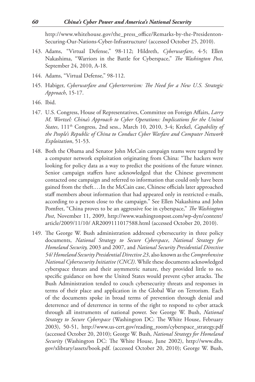http://www.whitehouse.gov/the\_press\_office/Remarks-by-the-Presidenton-Securing-Our-Nations-Cyber-Infrastructure/ (accessed October 25, 2010).

- 143. Adams, "Virtual Defense," 98-112; Hildreth, *Cyberwarfare*, 4-5; Ellen Nakashima, "Warriors in the Battle for Cyberspace," *The Washington Post*, September 24, 2010, A-18.
- 144. Adams, "Virtual Defense," 98-112.
- 145. Habiger, *Cyberwarfare and Cyberterrorism: The Need for a New U.S. Strategic Approach*, 15-17.
- 146. Ibid.
- 147. U.S. Congress, House of Representatives, Committee on Foreign Affairs, *Larry M. Wortzel: China's Approach to Cyber Operations: Implications for the United States*, 111th Congress, 2nd sess., March 10, 2010, 3-4; Krekel, *Capability of the People's Republic of China to Conduct Cyber Warfare and Computer Network Exploitation*, 51-53.
- 148. Both the Obama and Senator John McCain campaign teams were targeted by a computer network exploitation originating from China: "The hackers were looking for policy data as a way to predict the positions of the future winner. Senior campaign staffers have acknowledged that the Chinese government contacted one campaign and referred to information that could only have been gained from the theft.…In the McCain case, Chinese officials later approached staff members about information that had appeared only in restricted e-mails, according to a person close to the campaign." See Ellen Nakashima and John Pomfret, "China proves to be an aggressive foe in cyberspace," *The Washington Post*, November 11, 2009, http://www.washingtonpost.com/wp-dyn/content/ article/2009/11/10/ AR2009111017588.html (accessed October 20, 2010).
- 149. The George W. Bush administration addressed cybersecurity in three policy documents, *National Strategy to Secure Cyberspace*, *National Strategy for Homeland Security,* 2003 and 2007, and *National Security Presidential Directive 54/ Homeland Security Presidential Directive 23*, also known as the *Comprehensive National Cybersecurity Initiative (CNCI)*. While these documents acknowledged cyberspace threats and their asymmetric nature, they provided little to no. specific guidance on how the United States would prevent cyber attacks. The Bush Administration tended to couch cybersecurity threats and responses in terms of their place and application in the Global War on Terrorism. Each of the documents spoke in broad terms of prevention through denial and deterrence and of deterrence in terms of the right to respond to cyber attack through all instruments of national power. See George W. Bush, *National Strategy to Secure Cyberspace* (Washington DC: The White House, February 2003), 50-51, http://www.us-cert.gov/reading\_room/cyberspace\_strategy.pdf (accessed October 20, 2010); George W. Bush, *National Strategy for Homeland Security* (Washington DC: The White House, June 2002), http://www.dhs. gov/xlibrary/assets/book.pdf. (accessed October 20, 2010); George W. Bush,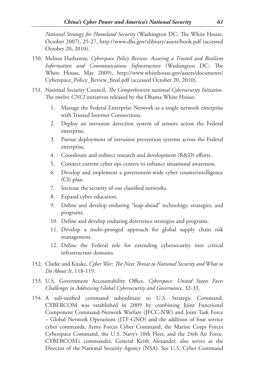*National Strategy for Homeland Security* (Washington DC: The White House, October 2007), 25-27, http://www.dhs.gov/xlibrary/assets/book.pdf (accessed October 20, 2010).

- 150. Melissa Hathaway, *Cyberspace Policy Review: Assuring a Trusted and Resilient Information and Communications Infrastructure* (Washington DC: The White House, May 2009), http://www.whitehouse.gov/assets/documents/ Cyberspace\_Policy\_Review\_final.pdf (accessed October 20, 2010).
- 151. National Security Council, *The Comprehensive national Cybersecurity Initiative.*  The twelve *CNCI* initiatives released by the Obama White House:
	- 1. Manage the Federal Enterprise Network as a single network enterprise with Trusted Internet Connections.
	- 2. Deploy an intrusion detection system of sensors across the Federal enterprise.
	- 3. Pursue deployment of intrusion prevention systems across the Federal enterprise.
	- 4. Coordinate and redirect research and development (R&D) efforts.
	- 5. Connect current cyber ops centers to enhance situational awareness.
	- 6. Develop and implement a government-wide cyber counterintelligence (CI) plan.
	- 7. Increase the security of our classified networks.
	- 8. Expand cyber education.
	- 9. Define and develop enduring "leap-ahead" technology, strategies, and programs.
	- 10. Define and develop enduring deterrence strategies and programs.
	- 11. Develop a multi-pronged approach for global supply chain risk management.
	- 12. Define the Federal role for extending cybersecurity into critical infrastructure domains.
- 152. Clarke and Knake, *Cyber War: The Next Threat to National Security and What to Do About It*, 118-119.
- 153. U.S. Government Accountability Office, *Cyberspace: United States Faces Challenges in Addressing Global Cybersecurity and Governance*, 32-33.
- 154. A sub-unified command subordinate to U.S. Strategic Command, CYBERCOM was established in 2009 by combining Joint Functional Component Command-Network Warfare (JFCC-NW) and Joint Task Force – Global Network Operations (JTF*-*GNO) and the addition of four service cyber commands, Army Forces Cyber Command, the Marine Corps Forces Cyberspace Command, the U.S. Navy's 10th Fleet, and the 24th Air Force. CYBERCOM's commander, General Keith Alexander, also serves as the Director of the National Security Agency (NSA). See U.S. Cyber Command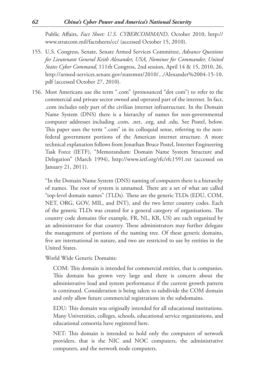Public Affairs, *Fact Sheet: U.S. CYBERCOMMAND*, October 2010, http:// www.stratcom.mil/factsheets/cc/ (accessed October 15, 2010).

- 155. U.S. Congress, Senate, Senate Armed Services Committee, *Advance Questions for Lieutenant General Keith Alexander, USA, Nominee for Commander, United States Cyber Command,* 111th Congress, 2nd session, April 14 & 15, 2010, 26, http://armed-services.senate.gov/statemnt/2010/.../Alexander%2004-15-10. pdf (accessed October 27, 2010).
- 156. Most Americans use the term ".com" (pronounced "dot com") to refer to the commercial and private sector owned and operated part of the internet. In fact, .com includes only part of the civilian internet infrastructure. In the Domain Name System (DNS) there is a hierarchy of names for non-governmental computer addresses including .com, .net, .org, and .edu. See Postel, below. This paper uses the term ".com" in its colloquial sense, referring to the nonfederal government portions of the American internet structure. A more technical explanation follows from Jonathan Bruce Postel, Internet Engineering Task Force (IETF), "Memorandum: Domain Name System Structure and Delegation" (March 1994), http://www.ietf.org/rfc/rfc1591.txt (accessed on January 21, 2011).

"In the Domain Name System (DNS) naming of computers there is a hierarchy of names. The root of system is unnamed. There are a set of what are called "top-level domain names" (TLDs). These are the generic TLDs (EDU, COM, NET, ORG, GOV, MIL, and INT), and the two letter country codes. Each of the generic TLDs was created for a general category of organizations. The country code domains (for example, FR, NL, KR, US) are each organized by an administrator for that country. These administrators may further delegate the management of portions of the naming tree. Of these generic domains, five are international in nature, and two are restricted to use by entities in the United States.

World Wide Generic Domains:

COM: This domain is intended for commercial entities, that is companies. This domain has grown very large and there is concern about the administrative load and system performance if the current growth pattern is continued. Consideration is being taken to subdivide the COM domain and only allow future commercial registrations in the subdomains.

EDU: This domain was originally intended for all educational institutions. Many Universities, colleges, schools, educational service organizations, and educational consortia have registered here.

NET: This domain is intended to hold only the computers of network providers, that is the NIC and NOC computers, the administrative computers, and the network node computers.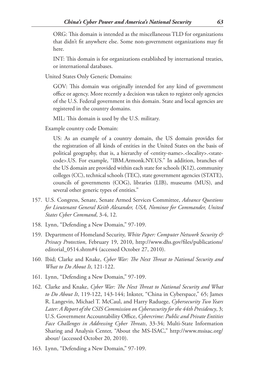ORG: This domain is intended as the miscellaneous TLD for organizations that didn't fit anywhere else. Some non-government organizations may fit here.

INT: This domain is for organizations established by international treaties, or international databases.

United States Only Generic Domains:

GOV: This domain was originally intended for any kind of government office or agency. More recently a decision was taken to register only agencies of the U.S. Federal government in this domain. State and local agencies are registered in the country domains.

MIL: This domain is used by the U.S. military.

Example country code Domain:

US: As an example of a country domain, the US domain provides for the registration of all kinds of entities in the United States on the basis of political geography, that is, a hierarchy of <entity-name>.<locality>.<statecode>.US. For example, "IBM.Armonk.NY.US." In addition, branches of the US domain are provided within each state for schools (K12), community colleges (CC), technical schools (TEC), state government agencies (STATE), councils of governments (COG), libraries (LIB), museums (MUS), and several other generic types of entities."

- 157. U.S. Congress, Senate, Senate Armed Services Committee, *Advance Questions for Lieutenant General Keith Alexander, USA, Nominee for Commander, United States Cyber Command*, 3-4, 12.
- 158. Lynn, "Defending a New Domain," 97-109.
- 159. Department of Homeland Security, *White Paper: Computer Network Security & Privacy Protection*, February 19, 2010, http://www.dhs.gov/files/publications/ editorial\_0514.shtm#4 (accessed October 27, 2010).
- 160. Ibid; Clarke and Knake, *Cyber War: The Next Threat to National Security and What to Do About It*, 121-122.
- 161. Lynn, "Defending a New Domain," 97-109.
- 162. Clarke and Knake, *Cyber War: The Next Threat to National Security and What to Do About It*, 119-122, 143-144; Inkster, "China in Cyberspace," 65; James R. Langevin, Michael T. McCaul, and Harry Raduege, *Cybersecurity Two Years Later: A Report of the CSIS Commission on Cybersecurity for the 44th Presidency*, 3; U.S. Government Accountability Office, *Cybercrime: Public and Private Entities Face Challenges in Addressing Cyber Threats*, 33-34; Multi-State Information Sharing and Analysis Center, "About the MS-ISAC," http://www.msisac.org/ about/ (accessed October 20, 2010).
- 163. Lynn, "Defending a New Domain," 97-109.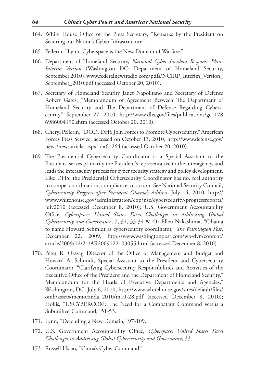- 164. White House Office of the Press Secretary, "Remarks by the President on Securing our Nation's Cyber Infrastructure."
- 165. Pellerin, "Lynn: Cyberspace is the New Domain of Warfare."
- 166. Department of Homeland Security, *National Cyber Incident Response Plan-Interim Version* (Washington DC: Department of Homeland Security, September 2010), www.federalnewsradio.com/pdfs/NCIRP\_Interim\_Version\_ September\_2010.pdf (accessed October 20, 2010).
- 167. Secretary of Homeland Security Janet Napolitano and Secretary of Defense Robert Gates, "Memorandum of Agreement Between The Department of Homeland Security and The Department of Defense Regarding Cybersecurity," September 27, 2010, http://www.dhs.gov/files/publications/gc\_128 6986004190.shtm (accessed October 20, 2010).
- 168. Cheryl Pellerin, "DOD, DHS Join Forces to Promote Cybersecurity," American Forces Press Service, accessed on October 13, 2010, http://www.defense.gov/ news/newsarticle. aspx?id=61264 (accessed October 20, 2010).
- 169. The Presidential Cybersecurity Coordinator is a Special Assistant to the President, serves primarily the President's representative to the interagency, and leads the interagency process for cyber security strategy and policy development. Like DHS, the Presidential Cybersecurity Coordinator has no. real authority to compel coordination, compliance, or action. See National Security Council, *Cybersecurity Progress after President Obama's Address*, July 14, 2010, http:// www.whitehouse.gov/administration/eop/nsc/cybersecurity/progressreports/ july2010 (accessed December 8, 2010); U.S. Government Accountability Office, *Cyberspace: United States Faces Challenges in Addressing Global Cybersecurity and Governance*, 7, 31, 33-34 & 41; Ellen Nakashima, "Obama to name Howard Schmidt as cybersecurity coordinator," *The Washington Post*, December 22, 2009, http://www.washingtonpost.com/wp-dyn/content/ article/2009/12/21/AR2009122103055.html (accessed December 8, 2010).
- 170. Peter R. Orszag Director of the Office of Management and Budget and Howard A. Schmidt, Special Assistant to the President and Cybersecurity Coordinator, "Clarifying Cybersecurity Responsibilities and Activities of the Executive Office of the President and the Department of Homeland Security," Memorandum for the Heads of Executive Departments and Agencies," Washington, DC, July 6, 2010, http://www.whitehouse.gov/sites/default/files/ omb/assets/memoranda\_2010/m10-28.pdf (accessed December 8, 2010); Hollis, "USCYBERCOM: The Need for a Combatant Command versus a Subunified Command," 51-53.
- 171. Lynn, "Defending a New Domain," 97-109.
- 172. U.S. Government Accountability Office, *Cyberspace: United States Faces Challenges in Addressing Global Cybersecurity and Governance*, 33.
- 173. Russell Hsiao, "China's Cyber Command?"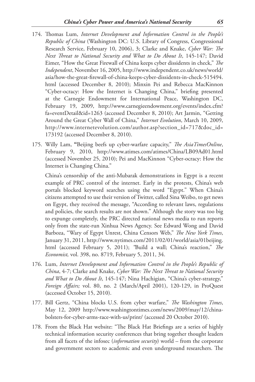- 174. Thomas Lum, *Internet Development and Information Control in the People's Republic of China* (Washington DC: U.S. Library of Congress, Congressional Research Service, February 10, 2006), 3; Clarke and Knake, *Cyber War: The Next Threat to National Security and What to Do About It*, 145-147; David Eimer, "How the Great Firewall of China keeps cyber dissidents in check," *The Independent*, November 16, 2005, http://www.independent.co.uk/news/world/ asia/how-the-great-firewall-of-china-keeps-cyber-dissidents-in-check-515494. html (accessed December 8, 2010); Minxin Pei and Rebecca MacKinnon "Cyber-ocracy: How the Internet is Changing China," briefing presented at the Carnegie Endowment for International Peace, Washington DC, February 19, 2009, http://www.carnegieendowment.org/events/index.cfm? fa=eventDetail&id=1263 (accessed December 8, 2010); Art Jarmin, "Getting Around the Great Cyber Wall of China," *Internet Evolution*, March 10, 2009, http://www.internetevolution.com/author.asp?section\_id=717&doc\_id= 173192 (accessed December 8, 2010).
- 175. Willy Lam, **"**Beijing beefs up cyber-warfare capacity," *The AsiaTimesOnline*, February 9, 2010, http://www.atimes.com/atimes/China/LB09Ad01.html (accessed November 25, 2010); Pei and MacKinnon "Cyber-ocracy: How the Internet is Changing China."

China's censorship of the anti-Mubarak demonstrations in Egypt is a recent example of PRC control of the internet. Early in the protests, China's web portals blocked keyword searches using the word "Egypt." When China's citizens attempted to use their version of Twitter, called Sina Weibo, to get news on Egypt, they received the message, "According to relevant laws, regulations and policies, the search results are not shown." Although the story was too big to expunge completely, the PRC directed national news media to run reports only from the state-run Xinhua News Agency. See Edward Wong and David Barboza, "Wary of Egypt Unrest, China Censors Web," *The New York Times*, January 31, 2011, http://www.nytimes.com/2011/02/01/world/asia/01beijing. html (accessed February 5, 2011); *"*Build a wall; China's reaction," *The Economist,* vol. 398, no. 8719, February 5, 2011, 34.

- 176. Lum, *Internet Development and Information Control in the People's Republic of China*, 4-7; Clarke and Knake, *Cyber War: The Next Threat to National Security and What to Do About It*, 145-147; Nina Hachigian, "China's cyber-strategy," *Foreign Affairs;* vol. 80, no. 2 (March/April 2001), 120-129, in ProQuest (accessed October 15, 2010).
- 177. Bill Gertz, "China blocks U.S. from cyber warfare," *The Washington Times*, May 12, 2009 http://www.washingtontimes.com/news/2009/may/12/chinabolsters-for-cyber-arms-race-with-us/print/ (accessed 20 October 2010).
- 178. From the Black Hat website: "The Black Hat Briefings are a series of highly technical information security conferences that bring together thought leaders from all facets of the infosec (*information security*) world – from the corporate and government sectors to academic and even underground researchers. The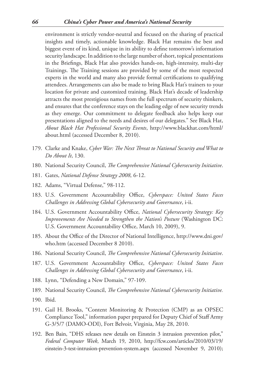environment is strictly vendor-neutral and focused on the sharing of practical insights and timely, actionable knowledge. Black Hat remains the best and biggest event of its kind, unique in its ability to define tomorrow's information security landscape. In addition to the large number of short, topical presentations in the Briefings, Black Hat also provides hands-on, high-intensity, multi-day Trainings. The Training sessions are provided by some of the most respected experts in the world and many also provide formal certifications to qualifying attendees. Arrangements can also be made to bring Black Hat's trainers to your location for private and customized training. Black Hat's decade of leadership attracts the most prestigious names from the full spectrum of security thinkers, and ensures that the conference stays on the leading edge of new security trends as they emerge. Our commitment to delegate feedback also helps keep our presentations aligned to the needs and desires of our delegates." See Black Hat, *About Black Hat Professional Security Events*, http://www.blackhat.com/html/ about.html (accessed December 8, 2010).

- 179. Clarke and Knake, *Cyber War: The Next Threat to National Security and What to Do About It*, 130.
- 180. National Security Council, *The Comprehensive National Cybersecurity Initiative*.
- 181. Gates, *National Defense Strategy 2008,* 6-12.
- 182. Adams, "Virtual Defense," 98-112.
- 183. U.S. Government Accountability Office, *Cyberspace: United States Faces Challenges in Addressing Global Cybersecurity and Governance*, i-ii.
- 184. U.S. Government Accountability Office, *National Cybersecurity Strategy: Key Improvements Are Needed to Strengthen the Nation's Posture* (Washington DC: U.S. Government Accountability Office, March 10, 2009), 9.
- 185. About the Office of the Director of National Intelligence, http://www.dni.gov/ who.htm (accessed December 8 2010).
- 186. National Security Council, *The Comprehensive National Cybersecurity Initiative*.
- 187. U.S. Government Accountability Office, *Cyberspace: United States Faces Challenges in Addressing Global Cybersecurity and Governance*, i-ii.
- 188. Lynn, "Defending a New Domain," 97-109.
- 189. National Security Council, *The Comprehensive National Cybersecurity Initiative.*
- 190. Ibid.
- 191. Gail H. Brooks, "Content Monitoring & Protection (CMP) as an OPSEC Compliance Tool," information paper prepared for Deputy Chief of Staff Army G-3/5/7 (DAMO-ODI), Fort Belvoir, Virginia, May 28, 2010.
- 192. Ben Bain, "DHS releases new details on Einstein 3 intrusion prevention pilot," *Federal Computer Week*, March 19, 2010, http://fcw.com/articles/2010/03/19/ einstein-3-test-intrusion-prevention-system.aspx (accessed November 9, 2010);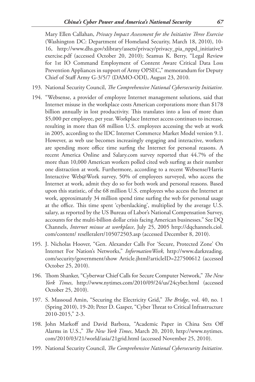Mary Ellen Callahan, *Privacy Impact Assessment for the Initiative Three Exercise* (Washington DC: Department of Homeland Security, March 18, 2010), 10- 16, http://www.dhs.gov/xlibrary/assets/privacy/privacy\_pia\_nppd\_initiative3 exercise.pdf (accessed October 20, 2010); Seamus K. Berry, "Legal Review for 1st IO Command Employment of Content Aware Critical Data Loss Prevention Appliances in support of Army OPSEC," memorandum for Deputy Chief of Staff Army G-3/5/7 (DAMO-ODI), August 23, 2010.

- 193. National Security Council, *The Comprehensive National Cybersecurity Initiative.*
- 194. "Websense, a provider of employee Internet management solutions, said that Internet misuse in the workplace costs American corporations more than \$178 billion annually in lost productivity. This translates into a loss of more than \$5,000 per employee, per year. Workplace Internet access continues to increase, resulting in more than 68 million U.S. employees accessing the web at work in 2005, according to the IDC Internet Commerce Market Model version 9.1. However, as web use becomes increasingly engaging and interactive, workers are spending more office time surfing the Internet for personal reasons. A recent America Online and Salary.com survey reported that 44.7% of the more than 10,000 American workers polled cited web surfing as their number one distraction at work. Furthermore, according to a recent Websense/Harris Interactive Web@Work survey, 50% of employees surveyed, who access the Internet at work, admit they do so for both work and personal reasons. Based upon this statistic, of the 68 million U.S. employees who access the Internet at work, approximately 34 million spend time surfing the web for personal usage at the office. This time spent 'cyberslacking', multiplied by the average U.S. salary, as reported by the US Bureau of Labor's National Compensation Survey, accounts for the multi-billion dollar crisis facing American businesses." See DQ Channels, *Internet misuse at workplace*, July 25, 2005 http://dqchannels.ciol. com/content/ reselleralert/105072503.asp (accessed December 8, 2010).
- 195. J. Nicholas Hoover, "Gen. Alexander Calls For 'Secure, Protected Zone' On Internet For Nation's Networks," *InformationWeek,* http://www.darkreading. com/security/government/show Article.jhtml?articleID=227500612 (accessed October 25, 2010).
- 196. Thom Shanker, "Cyberwar Chief Calls for Secure Computer Network," *The New York Times*, http://www.nytimes.com/2010/09/24/us/24cyber.html (accessed October 25, 2010).
- 197. S. Massoud Amin, "Securing the Electricity Grid," *The Bridge*, vol. 40, no. 1 (Spring 2010), 19-20; Peter D. Gasper, "Cyber Threat to Critical Infrastructure 2010-2015," 2-3.
- 198. John Markoff and David Barboza, "Academic Paper in China Sets Off Alarms in U.S.," *The New York Times*, March 20, 2010, http://www.nytimes. com/2010/03/21/world/asia/21grid.html (accessed November 25, 2010).
- 199. National Security Council, *The Comprehensive National Cybersecurity Initiative.*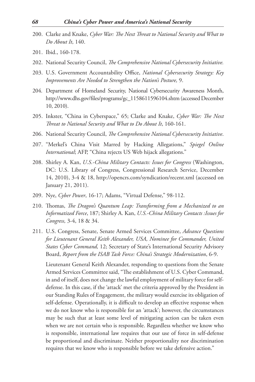- 200. Clarke and Knake, *Cyber War: The Next Threat to National Security and What to Do About It*, 140.
- 201. Ibid., 160-178.
- 202. National Security Council, *The Comprehensive National Cybersecurity Initiative.*
- 203. U.S. Government Accountability Office, *National Cybersecurity Strategy: Key Improvements Are Needed to Strengthen the Nation's Posture,* 9.
- 204. Department of Homeland Security, National Cybersecurity Awareness Month, http://www.dhs.gov/files/programs/gc\_1158611596104.shtm (accessed December 10, 2010).
- 205. Inkster, "China in Cyberspace," 65; Clarke and Knake, *Cyber War: The Next Threat to National Security and What to Do About It*, 160-161.
- 206. National Security Council, *The Comprehensive National Cybersecurity Initiative*.
- 207. "Merkel's China Visit Marred by Hacking Allegations," *Spiegel Online International*; AFP, "China rejects US Web hijack allegations."
- 208. Shirley A. Kan, *U.S.-China Military Contacts: Issues for Congress* (Washington, DC: U.S. Library of Congress, Congressional Research Service, December 14, 2010), 3-4 & 18, http://opencrs.com/syndication/recent.xml (accessed on January 21, 2011).
- 209. Nye, *Cyber Power*, 16-17; Adams, "Virtual Defense," 98-112.
- 210. Thomas, *The Dragon's Quantum Leap: Transforming from a Mechanized to an Informatized Force*, 187; Shirley A. Kan, *U.S.-China Military Contacts :Issues for Congress,* 3-4, 18 & 34.
- 211. U.S. Congress, Senate, Senate Armed Services Committee, *Advance Questions for Lieutenant General Keith Alexander, USA, Nominee for Commander, United States Cyber Command,* 12; Secretary of State's International Security Advisory Board, *Report from the ISAB Task Force: China's Strategic Modernization*, 6-9.

Lieutenant General Keith Alexander, responding to questions from the Senate Armed Services Committee said, "The establishment of U.S. Cyber Command, in and of itself, does not change the lawful employment of military force for selfdefense. In this case, if the 'attack' met the criteria approved by the President in our Standing Rules of Engagement, the military would exercise its obligation of self-defense. Operationally, it is difficult to develop an effective response when we do not know who is responsible for an 'attack'; however, the circumstances may be such that at least some level of mitigating action can be taken even when we are not certain who is responsible. Regardless whether we know who is responsible, international law requires that our use of force in self-defense be proportional and discriminate. Neither proportionality nor discrimination requires that we know who is responsible before we take defensive action."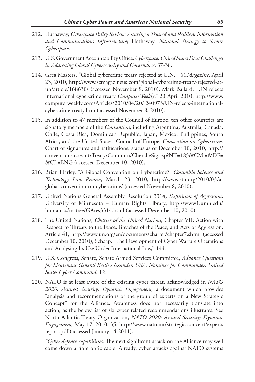- 212. Hathaway, *Cyberspace Policy Review: Assuring a Trusted and Resilient Information and Communications Infrastructure*; Hathaway, *National Strategy to Secure Cyberspace*.
- 213. U.S. Government Accountability Office, *Cyberspace: United States Faces Challenges in Addressing Global Cybersecurity and Governance*, 37-38.
- 214. Greg Masters, "Global cybercrime treaty rejected at U.N.," *SCMagazine*, April 23, 2010, http://www.scmagazineus.com/global-cybercrime-treaty-rejected-atun/article/168630/ (accessed November 8, 2010); Mark Ballard, "UN rejects international cybercrime treaty *ComputerWeekly*," 20 April 2010, http://www. computerweekly.com/Articles/2010/04/20/ 240973/UN-rejects-internationalcybercrime-treaty.htm (accessed November 8, 2010).
- 215. In addition to 47 members of the Council of Europe, ten other countries are signatory members of the *Convention*, including Argentina, Australia, Canada, Chile, Costa Rica, Dominican Republic, Japan, Mexico, Philippines, South Africa, and the United States. Council of Europe, *Convention on Cybercrime,* Chart of signatures and ratifications, status as of December 10, 2010, http:// conventions.coe.int/Treaty/Commun/ChercheSig.asp?NT=185&CM =&DF= &CL=ENG (accessed December 10, 2010).
- 216. Brian Harley, "A Global Convention on Cybercrime?" *Columbia Science and Technology Law Review*, March 23, 2010, http://www.stlr.org/2010/03/aglobal-convention-on-cybercrime/ (accessed November 8, 2010).
- 217. United Nations General Assembly Resolution 3314, *Definition of Aggression*, University of Minnesota – Human Rights Library, http://www1.umn.edu/ humanrts/instree/GAres3314.html (accessed December 10, 2010).
- 218. The United Nations, *Charter of the United Nations*, Chapter VII: Action with Respect to Threats to the Peace, Breaches of the Peace, and Acts of Aggression, Article 41, http://www.un.org/en/documents/charter/chapter7.shtml (accessed December 10, 2010); Schaap, "The Development of Cyber Warfare Operations and Analysing Its Use Under International Law," 144.
- 219. U.S. Congress, Senate, Senate Armed Services Committee, *Advance Questions for Lieutenant General Keith Alexander, USA, Nominee for Commander, United States Cyber Command*, 12.
- 220. NATO is at least aware of the existing cyber threat, acknowledged in *NATO 2020: Assured Security; Dynamic Engagement,* a document which provides "analysis and recommendations of the group of experts on a New Strategic Concept" for the Alliance. Awareness does not necessarily translate into action, as the below list of six cyber related recommendations illustrates. See North Atlantic Treaty Organization, *NATO 2020: Assured Security; Dynamic Engagement,* May 17, 2010, 35, http://www.nato.int/strategic-concept/experts report.pdf (accessed January 14 2011).

*"Cyber defence capabilities*. The next significant attack on the Alliance may well come down a fibre optic cable. Already, cyber attacks against NATO systems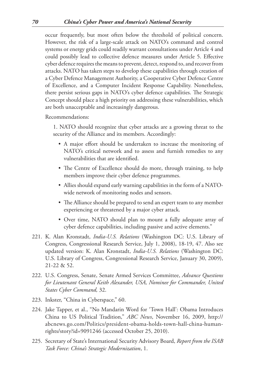occur frequently, but most often below the threshold of political concern. However, the risk of a large-scale attack on NATO's command and control systems or energy grids could readily warrant consultations under Article 4 and could possibly lead to collective defence measures under Article 5. Effective cyber defence requires the means to prevent, detect, respond to, and recover from attacks. NATO has taken steps to develop these capabilities through creation of a Cyber Defence Management Authority, a Cooperative Cyber Defence Centre of Excellence, and a Computer Incident Response Capability. Nonetheless, there persist serious gaps in NATO's cyber defence capabilities. The Strategic Concept should place a high priority on addressing these vulnerabilities, which are both unacceptable and increasingly dangerous.

Recommendations:

1. NATO should recognize that cyber attacks are a growing threat to the security of the Alliance and its members. Accordingly:

- A major effort should be undertaken to increase the monitoring of NATO's critical network and to assess and furnish remedies to any vulnerabilities that are identified.
- The Centre of Excellence should do more, through training, to help members improve their cyber defence programmes.
- • Allies should expand early warning capabilities in the form of a NATOwide network of monitoring nodes and sensors.
- The Alliance should be prepared to send an expert team to any member experiencing or threatened by a major cyber attack.
- • Over time, NATO should plan to mount a fully adequate array of cyber defence capabilities, including passive and active elements."
- 221. K. Alan Kronstadt, *India-U.S. Relations* (Washington DC: U.S. Library of Congress, Congressional Research Service, July 1, 2008), 18-19, 47. Also see updated version: K. Alan Kronstadt, *India-U.S. Relations* (Washington DC: U.S. Library of Congress, Congressional Research Service, January 30, 2009), 21-22 & 52.
- 222. U.S. Congress, Senate, Senate Armed Services Committee, *Advance Questions for Lieutenant General Keith Alexander, USA, Nominee for Commander, United States Cyber Command,* 32.
- 223. Inkster, "China in Cyberspace," 60.
- 224. Jake Tapper, et al., "No Mandarin Word for 'Town Hall': Obama Introduces China to US Political Tradition," *ABC News*, November 16, 2009, http:// abcnews.go.com/Politics/president-obama-holds-town-hall-china-humanrights/story?id=9091246 (accessed October 25, 2010).
- 225. Secretary of State's International Security Advisory Board, *Report from the ISAB Task Force: China's Strategic Modernization*, 1.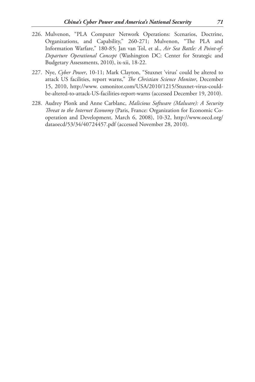- 226. Mulvenon, "PLA Computer Network Operations: Scenarios, Doctrine, Organizations, and Capability," 260-271; Mulvenon, "The PLA and Information Warfare," 180-85; Jan van Tol, et al., *Air Sea Battle: A Point-of-Departure Operational Concept* (Washington DC: Center for Strategic and Budgetary Assessments, 2010), ix-xii, 18-22.
- 227. Nye, *Cyber Power*, 10-11; Mark Clayton, "Stuxnet 'virus' could be altered to attack US facilities, report warns," *The Christian Science Monitor*, December 15, 2010, http://www. csmonitor.com/USA/2010/1215/Stuxnet-virus-couldbe-altered-to-attack-US-facilities-report-warns (accessed December 19, 2010).
- 228. Audrey Plonk and Anne Carblanc, *Malicious Software (Malware): A Security Threat to the Internet Economy* (Paris, France: Organization for Economic Cooperation and Development, March 6, 2008), 10-32, http://www.oecd.org/ dataoecd/53/34/40724457.pdf (accessed November 28, 2010).